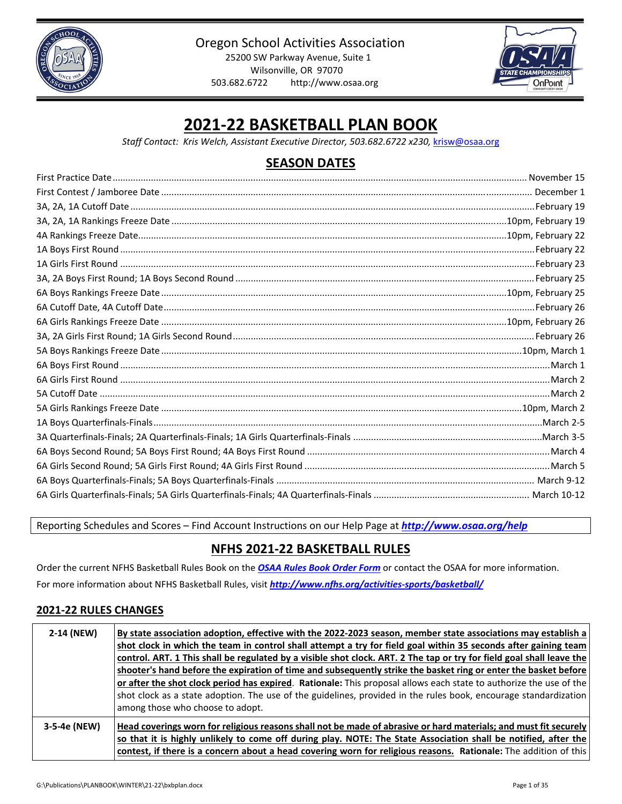



# **2021‐22 BASKETBALL PLAN BOOK**

*Staff Contact: Kris Welch, Assistant Executive Director, 503.682.6722 x230,* krisw@osaa.org

## **SEASON DATES**

Reporting Schedules and Scores – Find Account Instructions on our Help Page at *http://www.osaa.org/help*

## **NFHS 2021‐22 BASKETBALL RULES**

Order the current NFHS Basketball Rules Book on the *OSAA Rules Book [Order](http://www.osaa.org/governance/forms) Form* or contact the OSAA for more information. For more information about NFHS Basketball Rules, visit *[http://www.nfhs.org/activities](http://www.nfhs.org/activities-sports/basketball/)‐sports/basketball/*

## **2021‐22 RULES CHANGES**

| 2-14 (NEW)   | By state association adoption, effective with the 2022-2023 season, member state associations may establish a<br>shot clock in which the team in control shall attempt a try for field goal within 35 seconds after gaining team<br>control. ART. 1 This shall be regulated by a visible shot clock. ART. 2 The tap or try for field goal shall leave the<br>shooter's hand before the expiration of time and subsequently strike the basket ring or enter the basket before<br>or after the shot clock period has expired. Rationale: This proposal allows each state to authorize the use of the<br>shot clock as a state adoption. The use of the guidelines, provided in the rules book, encourage standardization<br>among those who choose to adopt. |
|--------------|------------------------------------------------------------------------------------------------------------------------------------------------------------------------------------------------------------------------------------------------------------------------------------------------------------------------------------------------------------------------------------------------------------------------------------------------------------------------------------------------------------------------------------------------------------------------------------------------------------------------------------------------------------------------------------------------------------------------------------------------------------|
| 3-5-4e (NEW) | Head coverings worn for religious reasons shall not be made of abrasive or hard materials; and must fit securely<br>so that it is highly unlikely to come off during play. NOTE: The State Association shall be notified, after the<br>contest, if there is a concern about a head covering worn for religious reasons. Rationale: The addition of this                                                                                                                                                                                                                                                                                                                                                                                                    |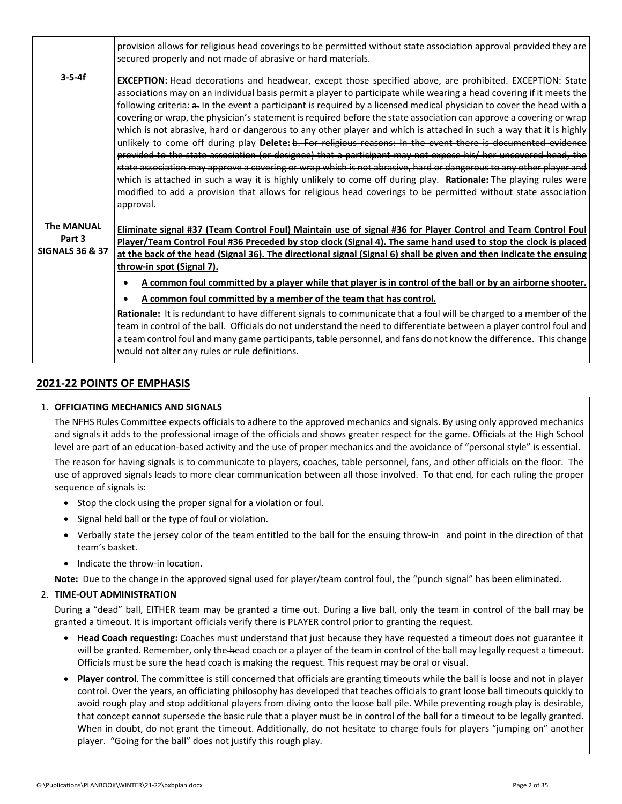|                                                           | provision allows for religious head coverings to be permitted without state association approval provided they are<br>secured properly and not made of abrasive or hard materials.                                                                                                                                                                                                                                                                                                                                                                                                                                                                                                                                                                                                                                                                                                                                                                                                                                                                                                                                                                                                                                |
|-----------------------------------------------------------|-------------------------------------------------------------------------------------------------------------------------------------------------------------------------------------------------------------------------------------------------------------------------------------------------------------------------------------------------------------------------------------------------------------------------------------------------------------------------------------------------------------------------------------------------------------------------------------------------------------------------------------------------------------------------------------------------------------------------------------------------------------------------------------------------------------------------------------------------------------------------------------------------------------------------------------------------------------------------------------------------------------------------------------------------------------------------------------------------------------------------------------------------------------------------------------------------------------------|
| $3 - 5 - 4f$                                              | EXCEPTION: Head decorations and headwear, except those specified above, are prohibited. EXCEPTION: State<br>associations may on an individual basis permit a player to participate while wearing a head covering if it meets the<br>following criteria: a. In the event a participant is required by a licensed medical physician to cover the head with a<br>covering or wrap, the physician's statement is required before the state association can approve a covering or wrap<br>which is not abrasive, hard or dangerous to any other player and which is attached in such a way that it is highly<br>unlikely to come off during play Delete: b. For religious reasons: In the event there is documented evidence<br>provided to the state association (or designee) that a participant may not expose his/ her uncovered head, the<br>state association may approve a covering or wrap which is not abrasive, hard or dangerous to any other player and<br>which is attached in such a way it is highly unlikely to come off during play. Rationale: The playing rules were<br>modified to add a provision that allows for religious head coverings to be permitted without state association<br>approval. |
| <b>The MANUAL</b><br>Part 3<br><b>SIGNALS 36 &amp; 37</b> | Eliminate signal #37 (Team Control Foul) Maintain use of signal #36 for Player Control and Team Control Foul<br>Player/Team Control Foul #36 Preceded by stop clock (Signal 4). The same hand used to stop the clock is placed<br>at the back of the head (Signal 36). The directional signal (Signal 6) shall be given and then indicate the ensuing<br>throw-in spot (Signal 7).<br>A common foul committed by a player while that player is in control of the ball or by an airborne shooter.<br>٠<br>A common foul committed by a member of the team that has control.<br>Rationale: It is redundant to have different signals to communicate that a foul will be charged to a member of the<br>team in control of the ball. Officials do not understand the need to differentiate between a player control foul and<br>a team control foul and many game participants, table personnel, and fans do not know the difference. This change                                                                                                                                                                                                                                                                     |

### **2021‐22 POINTS OF EMPHASIS**

#### 1. **OFFICIATING MECHANICS AND SIGNALS**

The NFHS Rules Committee expects officials to adhere to the approved mechanics and signals. By using only approved mechanics and signals it adds to the professional image of the officials and shows greater respect for the game. Officials at the High School level are part of an education‐based activity and the use of proper mechanics and the avoidance of "personal style" is essential.

The reason for having signals is to communicate to players, coaches, table personnel, fans, and other officials on the floor. The use of approved signals leads to more clear communication between all those involved. To that end, for each ruling the proper sequence of signals is:

- Stop the clock using the proper signal for a violation or foul.
- Signal held ball or the type of foul or violation.
- Verbally state the jersey color of the team entitled to the ball for the ensuing throw-in and point in the direction of that team's basket.
- Indicate the throw-in location.

**Note:** Due to the change in the approved signal used for player/team control foul, the "punch signal" has been eliminated.

#### 2. **TIME‐OUT ADMINISTRATION**

During a "dead" ball, EITHER team may be granted a time out. During a live ball, only the team in control of the ball may be granted a timeout. It is important officials verify there is PLAYER control prior to granting the request.

- **Head Coach requesting:** Coaches must understand that just because they have requested a timeout does not guarantee it will be granted. Remember, only the head coach or a player of the team in control of the ball may legally request a timeout. Officials must be sure the head coach is making the request. This request may be oral or visual.
- **Player control**. The committee is still concerned that officials are granting timeouts while the ball is loose and not in player control. Over the years, an officiating philosophy has developed that teaches officials to grant loose ball timeouts quickly to avoid rough play and stop additional players from diving onto the loose ball pile. While preventing rough play is desirable, that concept cannot supersede the basic rule that a player must be in control of the ball for a timeout to be legally granted. When in doubt, do not grant the timeout. Additionally, do not hesitate to charge fouls for players "jumping on" another player. "Going for the ball" does not justify this rough play.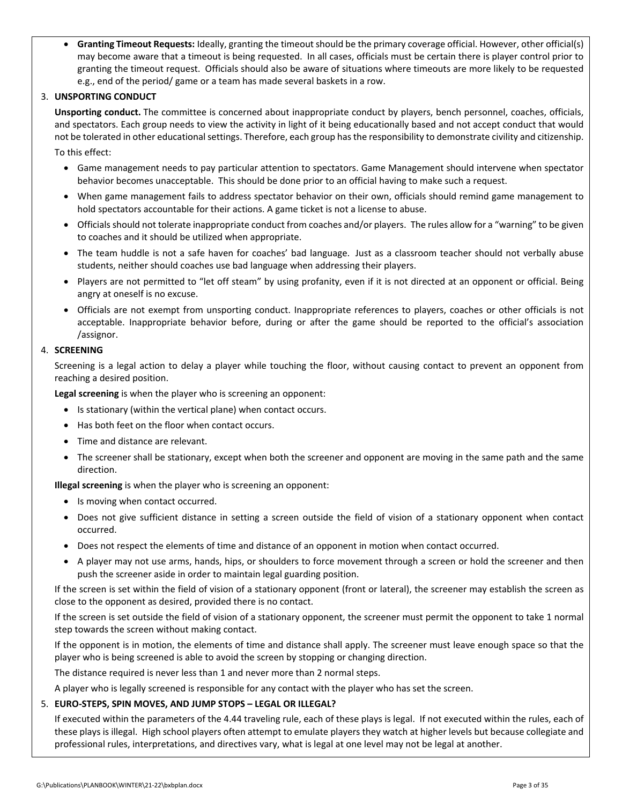**Granting Timeout Requests:** Ideally, granting the timeoutshould be the primary coverage official. However, other official(s) may become aware that a timeout is being requested. In all cases, officials must be certain there is player control prior to granting the timeout request. Officials should also be aware of situations where timeouts are more likely to be requested e.g., end of the period/ game or a team has made several baskets in a row.

#### 3. **UNSPORTING CONDUCT**

**Unsporting conduct.** The committee is concerned about inappropriate conduct by players, bench personnel, coaches, officials, and spectators. Each group needs to view the activity in light of it being educationally based and not accept conduct that would not be tolerated in other educational settings. Therefore, each group has the responsibility to demonstrate civility and citizenship.

- To this effect:
	- Game management needs to pay particular attention to spectators. Game Management should intervene when spectator behavior becomes unacceptable. This should be done prior to an official having to make such a request.
	- When game management fails to address spectator behavior on their own, officials should remind game management to hold spectators accountable for their actions. A game ticket is not a license to abuse.
	- Officialsshould not tolerate inappropriate conduct from coaches and/or players. The rules allow for a "warning" to be given to coaches and it should be utilized when appropriate.
	- The team huddle is not a safe haven for coaches' bad language. Just as a classroom teacher should not verbally abuse students, neither should coaches use bad language when addressing their players.
	- Players are not permitted to "let off steam" by using profanity, even if it is not directed at an opponent or official. Being angry at oneself is no excuse.
	- Officials are not exempt from unsporting conduct. Inappropriate references to players, coaches or other officials is not acceptable. Inappropriate behavior before, during or after the game should be reported to the official's association /assignor.

#### 4. **SCREENING**

Screening is a legal action to delay a player while touching the floor, without causing contact to prevent an opponent from reaching a desired position.

**Legal screening** is when the player who is screening an opponent:

- Is stationary (within the vertical plane) when contact occurs.
- Has both feet on the floor when contact occurs.
- Time and distance are relevant.
- The screener shall be stationary, except when both the screener and opponent are moving in the same path and the same direction.

**Illegal screening** is when the player who is screening an opponent:

- Is moving when contact occurred.
- Does not give sufficient distance in setting a screen outside the field of vision of a stationary opponent when contact occurred.
- Does not respect the elements of time and distance of an opponent in motion when contact occurred.
- A player may not use arms, hands, hips, or shoulders to force movement through a screen or hold the screener and then push the screener aside in order to maintain legal guarding position.

If the screen is set within the field of vision of a stationary opponent (front or lateral), the screener may establish the screen as close to the opponent as desired, provided there is no contact.

If the screen is set outside the field of vision of a stationary opponent, the screener must permit the opponent to take 1 normal step towards the screen without making contact.

If the opponent is in motion, the elements of time and distance shall apply. The screener must leave enough space so that the player who is being screened is able to avoid the screen by stopping or changing direction.

The distance required is never less than 1 and never more than 2 normal steps.

A player who is legally screened is responsible for any contact with the player who has set the screen.

#### 5. **EURO‐STEPS, SPIN MOVES, AND JUMP STOPS – LEGAL OR ILLEGAL?**

If executed within the parameters of the 4.44 traveling rule, each of these plays is legal. If not executed within the rules, each of these plays is illegal. High school players often attempt to emulate players they watch at higher levels but because collegiate and professional rules, interpretations, and directives vary, what is legal at one level may not be legal at another.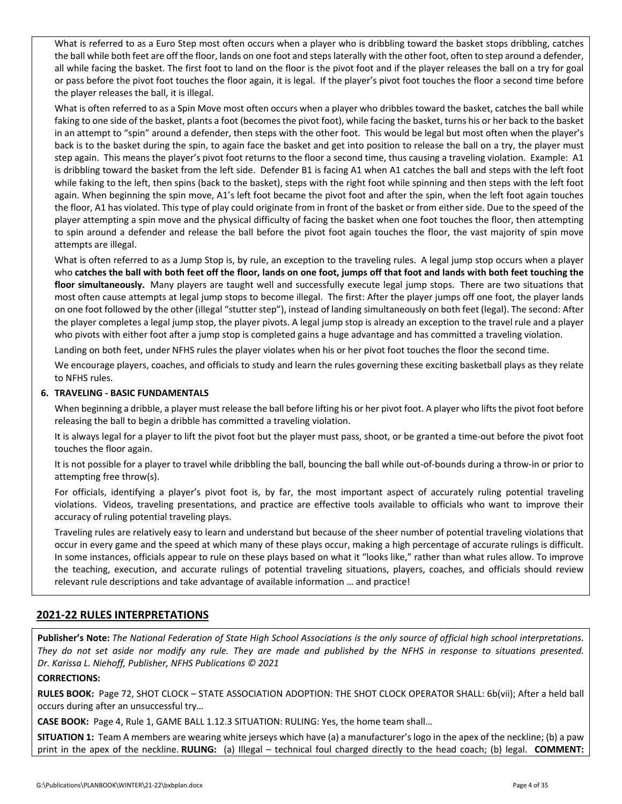What is referred to as a Euro Step most often occurs when a player who is dribbling toward the basket stops dribbling, catches the ball while both feet are off the floor, lands on one foot and stepslaterally with the other foot, often to step around a defender, all while facing the basket. The first foot to land on the floor is the pivot foot and if the player releases the ball on a try for goal or pass before the pivot foot touches the floor again, it is legal. If the player's pivot foot touches the floor a second time before the player releases the ball, it is illegal.

What is often referred to as a Spin Move most often occurs when a player who dribbles toward the basket, catches the ball while faking to one side of the basket, plants a foot (becomes the pivot foot), while facing the basket, turns his or her back to the basket in an attempt to "spin" around a defender, then steps with the other foot. This would be legal but most often when the player's back is to the basket during the spin, to again face the basket and get into position to release the ball on a try, the player must step again. This means the player's pivot foot returns to the floor a second time, thus causing a traveling violation. Example: A1 is dribbling toward the basket from the left side. Defender B1 is facing A1 when A1 catches the ball and steps with the left foot while faking to the left, then spins (back to the basket), steps with the right foot while spinning and then steps with the left foot again. When beginning the spin move, A1's left foot became the pivot foot and after the spin, when the left foot again touches the floor, A1 has violated. This type of play could originate from in front of the basket or from either side. Due to the speed of the player attempting a spin move and the physical difficulty of facing the basket when one foot touches the floor, then attempting to spin around a defender and release the ball before the pivot foot again touches the floor, the vast majority of spin move attempts are illegal.

What is often referred to as a Jump Stop is, by rule, an exception to the traveling rules. A legal jump stop occurs when a player who catches the ball with both feet off the floor, lands on one foot, jumps off that foot and lands with both feet touching the **floor simultaneously.** Many players are taught well and successfully execute legal jump stops. There are two situations that most often cause attempts at legal jump stops to become illegal. The first: After the player jumps off one foot, the player lands on one foot followed by the other (illegal "stutter step"), instead of landing simultaneously on both feet (legal). The second: After the player completes a legal jump stop, the player pivots. A legal jump stop is already an exception to the travel rule and a player who pivots with either foot after a jump stop is completed gains a huge advantage and has committed a traveling violation.

Landing on both feet, under NFHS rules the player violates when his or her pivot foot touches the floor the second time.

We encourage players, coaches, and officials to study and learn the rules governing these exciting basketball plays as they relate to NFHS rules.

#### **6. TRAVELING ‐ BASIC FUNDAMENTALS**

When beginning a dribble, a player must release the ball before lifting his or her pivot foot. A player who lifts the pivot foot before releasing the ball to begin a dribble has committed a traveling violation.

It is always legal for a player to lift the pivot foot but the player must pass, shoot, or be granted a time-out before the pivot foot touches the floor again.

It is not possible for a player to travel while dribbling the ball, bouncing the ball while out‐of‐bounds during a throw‐in or prior to attempting free throw(s).

For officials, identifying a player's pivot foot is, by far, the most important aspect of accurately ruling potential traveling violations. Videos, traveling presentations, and practice are effective tools available to officials who want to improve their accuracy of ruling potential traveling plays.

Traveling rules are relatively easy to learn and understand but because of the sheer number of potential traveling violations that occur in every game and the speed at which many of these plays occur, making a high percentage of accurate rulings is difficult. In some instances, officials appear to rule on these plays based on what it "looks like," rather than what rules allow. To improve the teaching, execution, and accurate rulings of potential traveling situations, players, coaches, and officials should review relevant rule descriptions and take advantage of available information … and practice!

### **2021‐22 RULES INTERPRETATIONS**

Publisher's Note: The National Federation of State High School Associations is the only source of official high school interpretations. They do not set aside nor modify any rule. They are made and published by the NFHS in response to situations presented. *Dr. Karissa L. Niehoff, Publisher, NFHS Publications © 2021*

#### **CORRECTIONS:**

**RULES BOOK:** Page 72, SHOT CLOCK – STATE ASSOCIATION ADOPTION: THE SHOT CLOCK OPERATOR SHALL: 6b(vii); After a held ball occurs during after an unsuccessful try…

**CASE BOOK:** Page 4, Rule 1, GAME BALL 1.12.3 SITUATION: RULING: Yes, the home team shall…

**SITUATION 1:** Team A members are wearing white jerseys which have (a) a manufacturer's logo in the apex of the neckline; (b) a paw print in the apex of the neckline. **RULING:** (a) Illegal – technical foul charged directly to the head coach; (b) legal. **COMMENT:**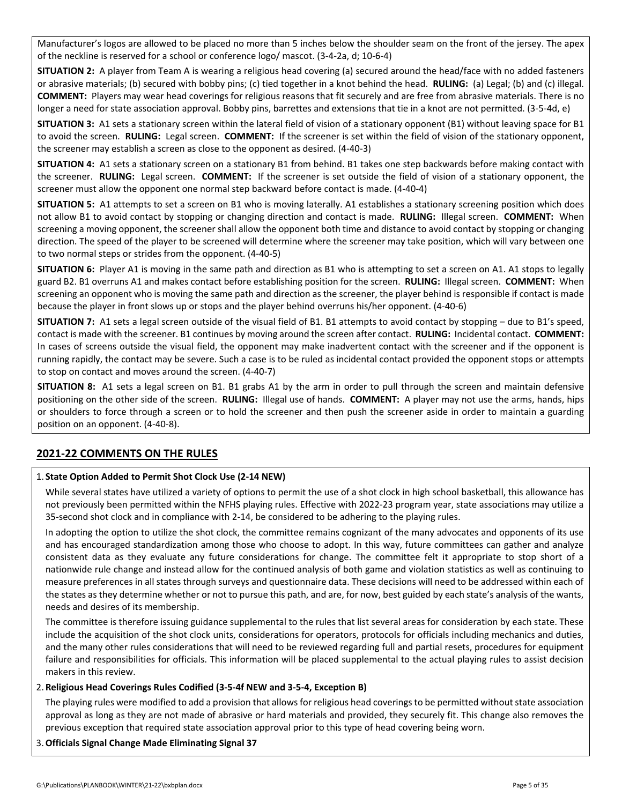Manufacturer's logos are allowed to be placed no more than 5 inches below the shoulder seam on the front of the jersey. The apex of the neckline is reserved for a school or conference logo/ mascot. (3‐4‐2a, d; 10‐6‐4)

**SITUATION 2:** A player from Team A is wearing a religious head covering (a) secured around the head/face with no added fasteners or abrasive materials; (b) secured with bobby pins; (c) tied together in a knot behind the head. **RULING:** (a) Legal; (b) and (c) illegal. **COMMENT:** Players may wear head coverings for religious reasons that fit securely and are free from abrasive materials. There is no longer a need for state association approval. Bobby pins, barrettes and extensions that tie in a knot are not permitted. (3‐5‐4d, e)

**SITUATION 3:** A1 sets a stationary screen within the lateral field of vision of a stationary opponent (B1) without leaving space for B1 to avoid the screen. **RULING:** Legal screen. **COMMENT:** If the screener is set within the field of vision of the stationary opponent, the screener may establish a screen as close to the opponent as desired. (4‐40‐3)

**SITUATION 4:** A1 sets a stationary screen on a stationary B1 from behind. B1 takes one step backwards before making contact with the screener. **RULING:** Legal screen. **COMMENT:** If the screener is set outside the field of vision of a stationary opponent, the screener must allow the opponent one normal step backward before contact is made. (4‐40‐4)

**SITUATION 5:** A1 attempts to set a screen on B1 who is moving laterally. A1 establishes a stationary screening position which does not allow B1 to avoid contact by stopping or changing direction and contact is made. **RULING:** Illegal screen. **COMMENT:** When screening a moving opponent, the screener shall allow the opponent both time and distance to avoid contact by stopping or changing direction. The speed of the player to be screened will determine where the screener may take position, which will vary between one to two normal steps or strides from the opponent. (4‐40‐5)

**SITUATION 6:** Player A1 is moving in the same path and direction as B1 who is attempting to set a screen on A1. A1 stops to legally guard B2. B1 overruns A1 and makes contact before establishing position for the screen. **RULING:** Illegal screen. **COMMENT:** When screening an opponent who is moving the same path and direction as the screener, the player behind is responsible if contact is made because the player in front slows up or stops and the player behind overruns his/her opponent. (4‐40‐6)

**SITUATION 7:** A1 sets a legal screen outside of the visual field of B1. B1 attempts to avoid contact by stopping – due to B1's speed, contact is made with the screener. B1 continues by moving around the screen after contact. **RULING:** Incidental contact. **COMMENT:** In cases of screens outside the visual field, the opponent may make inadvertent contact with the screener and if the opponent is running rapidly, the contact may be severe. Such a case is to be ruled as incidental contact provided the opponent stops or attempts to stop on contact and moves around the screen. (4‐40‐7)

**SITUATION 8:** A1 sets a legal screen on B1. B1 grabs A1 by the arm in order to pull through the screen and maintain defensive positioning on the other side of the screen. **RULING:** Illegal use of hands. **COMMENT:** A player may not use the arms, hands, hips or shoulders to force through a screen or to hold the screener and then push the screener aside in order to maintain a guarding position on an opponent. (4‐40‐8).

## **2021‐22 COMMENTS ON THE RULES**

#### 1. **State Option Added to Permit Shot Clock Use (2‐14 NEW)**

While several states have utilized a variety of options to permit the use of a shot clock in high school basketball, this allowance has not previously been permitted within the NFHS playing rules. Effective with 2022‐23 program year, state associations may utilize a 35‐second shot clock and in compliance with 2‐14, be considered to be adhering to the playing rules.

In adopting the option to utilize the shot clock, the committee remains cognizant of the many advocates and opponents of its use and has encouraged standardization among those who choose to adopt. In this way, future committees can gather and analyze consistent data as they evaluate any future considerations for change. The committee felt it appropriate to stop short of a nationwide rule change and instead allow for the continued analysis of both game and violation statistics as well as continuing to measure preferences in all states through surveys and questionnaire data. These decisions will need to be addressed within each of the states as they determine whether or not to pursue this path, and are, for now, best guided by each state's analysis of the wants, needs and desires of its membership.

The committee is therefore issuing guidance supplemental to the rules that list several areas for consideration by each state. These include the acquisition of the shot clock units, considerations for operators, protocols for officials including mechanics and duties, and the many other rules considerations that will need to be reviewed regarding full and partial resets, procedures for equipment failure and responsibilities for officials. This information will be placed supplemental to the actual playing rules to assist decision makers in this review.

#### 2.**Religious Head Coverings Rules Codified (3‐5‐4f NEW and 3‐5‐4, Exception B)**

The playing rules were modified to add a provision that allows for religious head coverings to be permitted without state association approval as long as they are not made of abrasive or hard materials and provided, they securely fit. This change also removes the previous exception that required state association approval prior to this type of head covering being worn.

3.**Officials Signal Change Made Eliminating Signal 37**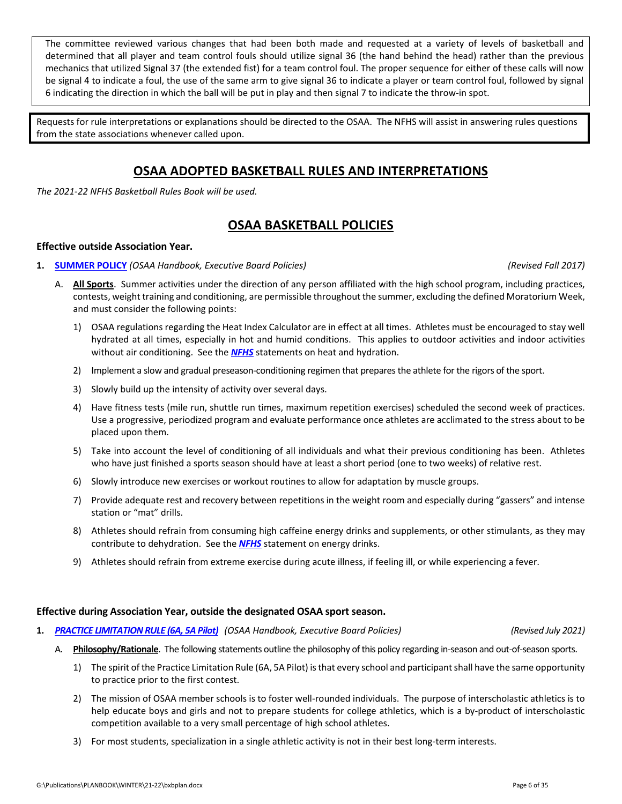The committee reviewed various changes that had been both made and requested at a variety of levels of basketball and determined that all player and team control fouls should utilize signal 36 (the hand behind the head) rather than the previous mechanics that utilized Signal 37 (the extended fist) for a team control foul. The proper sequence for either of these calls will now be signal 4 to indicate a foul, the use of the same arm to give signal 36 to indicate a player or team control foul, followed by signal 6 indicating the direction in which the ball will be put in play and then signal 7 to indicate the throw‐in spot.

Requests for rule interpretations or explanations should be directed to the OSAA. The NFHS will assist in answering rules questions from the state associations whenever called upon.

## **OSAA ADOPTED BASKETBALL RULES AND INTERPRETATIONS**

*The 2021‐22 NFHS Basketball Rules Book will be used.*

## **OSAA BASKETBALL POLICIES**

#### **Effective outside Association Year.**

#### **1. [SUMMER](http://www.osaa.org/governance/handbooks/osaa#_Toc456100463) POLICY** *(OSAA Handbook, Executive Board Policies) (Revised Fall 2017)*

- A. **All Sports**. Summer activities under the direction of any person affiliated with the high school program, including practices, contests, weight training and conditioning, are permissible throughout the summer, excluding the defined Moratorium Week, and must consider the following points:
	- 1) OSAA regulations regarding the Heat Index Calculator are in effect at all times. Athletes must be encouraged to stay well hydrated at all times, especially in hot and humid conditions. This applies to outdoor activities and indoor activities without air conditioning. See the *[NFHS](http://www.nfhs.org/sports-resource-content/nfhs-sports-medicine-position-statements-and-guidelines/)* statements on heat and hydration.
	- 2) Implement a slow and gradual preseason-conditioning regimen that prepares the athlete for the rigors of the sport.
	- 3) Slowly build up the intensity of activity over several days.
	- 4) Have fitness tests (mile run, shuttle run times, maximum repetition exercises) scheduled the second week of practices. Use a progressive, periodized program and evaluate performance once athletes are acclimated to the stress about to be placed upon them.
	- 5) Take into account the level of conditioning of all individuals and what their previous conditioning has been. Athletes who have just finished a sports season should have at least a short period (one to two weeks) of relative rest.
	- 6) Slowly introduce new exercises or workout routines to allow for adaptation by muscle groups.
	- 7) Provide adequate rest and recovery between repetitions in the weight room and especially during "gassers" and intense station or "mat" drills.
	- 8) Athletes should refrain from consuming high caffeine energy drinks and supplements, or other stimulants, as they may contribute to dehydration. See the *[NFHS](http://www.nfhs.org/sports-resource-content/nfhs-sports-medicine-position-statements-and-guidelines/)* statement on energy drinks.
	- 9) Athletes should refrain from extreme exercise during acute illness, if feeling ill, or while experiencing a fever.

#### **Effective during Association Year, outside the designated OSAA sport season.**

**1.** *PRACTICE [LIMITATION](http://www.osaa.org/governance/handbooks/osaa#_Toc456100421) RULE (6A, 5A Pilot) (OSAA Handbook, Executive Board Policies) (Revised July 2021)*

- A. Philosophy/Rationale. The following statements outline the philosophy of this policy regarding in-season and out-of-season sports.
	- 1) The spirit of the Practice Limitation Rule (6A, 5A Pilot) isthat every school and participantshall have the same opportunity to practice prior to the first contest.
	- 2) The mission of OSAA member schools is to foster well-rounded individuals. The purpose of interscholastic athletics is to help educate boys and girls and not to prepare students for college athletics, which is a by-product of interscholastic competition available to a very small percentage of high school athletes.
	- 3) For most students, specialization in a single athletic activity is not in their best long-term interests.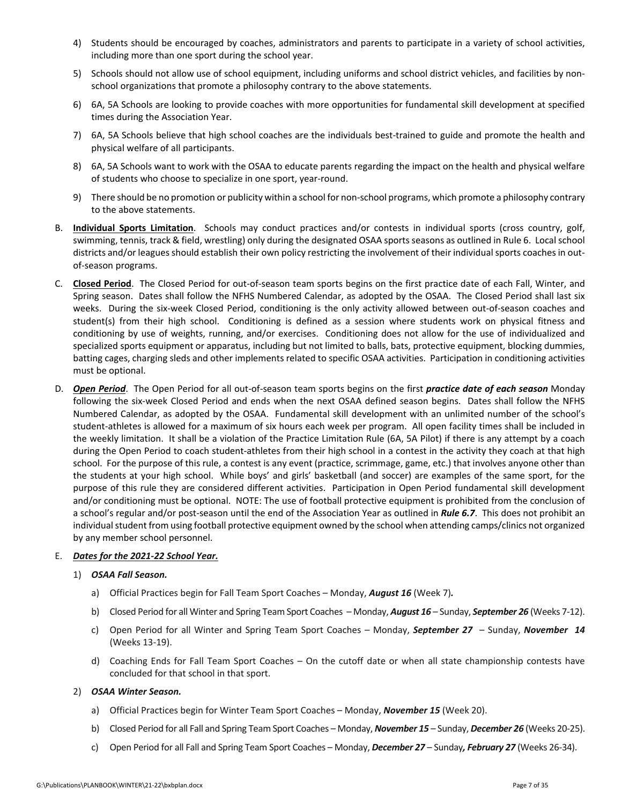- 4) Students should be encouraged by coaches, administrators and parents to participate in a variety of school activities, including more than one sport during the school year.
- 5) Schools should not allow use of school equipment, including uniforms and school district vehicles, and facilities by nonschool organizations that promote a philosophy contrary to the above statements.
- 6) 6A, 5A Schools are looking to provide coaches with more opportunities for fundamental skill development at specified times during the Association Year.
- 7) 6A, 5A Schools believe that high school coaches are the individuals best-trained to guide and promote the health and physical welfare of all participants.
- 8) 6A, 5A Schools want to work with the OSAA to educate parents regarding the impact on the health and physical welfare of students who choose to specialize in one sport, year‐round.
- 9) There should be no promotion or publicity within a school for non-school programs, which promote a philosophy contrary to the above statements.
- B. **Individual Sports Limitation**. Schools may conduct practices and/or contests in individual sports (cross country, golf, swimming, tennis, track & field, wrestling) only during the designated OSAA sports seasons as outlined in Rule 6. Local school districts and/or leagues should establish their own policy restricting the involvement of their individual sports coaches in outof‐season programs.
- C. **Closed Period**. The Closed Period for out‐of‐season team sports begins on the first practice date of each Fall, Winter, and Spring season. Dates shall follow the NFHS Numbered Calendar, as adopted by the OSAA. The Closed Period shall last six weeks. During the six-week Closed Period, conditioning is the only activity allowed between out-of-season coaches and student(s) from their high school. Conditioning is defined as a session where students work on physical fitness and conditioning by use of weights, running, and/or exercises. Conditioning does not allow for the use of individualized and specialized sports equipment or apparatus, including but not limited to balls, bats, protective equipment, blocking dummies, batting cages, charging sleds and other implements related to specific OSAA activities. Participation in conditioning activities must be optional.
- D. *Open Period*. The Open Period for all out‐of‐season team sports begins on the first *practice date of each season* Monday following the six-week Closed Period and ends when the next OSAA defined season begins. Dates shall follow the NFHS Numbered Calendar, as adopted by the OSAA. Fundamental skill development with an unlimited number of the school's student‐athletes is allowed for a maximum of six hours each week per program. All open facility times shall be included in the weekly limitation. It shall be a violation of the Practice Limitation Rule (6A, 5A Pilot) if there is any attempt by a coach during the Open Period to coach student-athletes from their high school in a contest in the activity they coach at that high school. For the purpose of this rule, a contest is any event (practice, scrimmage, game, etc.) that involves anyone other than the students at your high school. While boys' and girls' basketball (and soccer) are examples of the same sport, for the purpose of this rule they are considered different activities. Participation in Open Period fundamental skill development and/or conditioning must be optional. NOTE: The use of football protective equipment is prohibited from the conclusion of a school's regular and/or post‐season until the end of the Association Year as outlined in *Rule 6.7*. This does not prohibit an individual student from using football protective equipment owned by the school when attending camps/clinics not organized by any member school personnel.

#### E. *Dates for the 2021‐22 School Year.*

#### 1) *OSAA Fall Season.*

- a) Official Practices begin for Fall Team Sport Coaches Monday, *August 16* (Week 7)*.*
- b) Closed Period for all Winter and Spring Team Sport Coaches Monday, *August 16* Sunday, *September 26* (Weeks 7‐12).
- c) Open Period for all Winter and Spring Team Sport Coaches Monday, *September 27*  Sunday, *November 14* (Weeks 13‐19).
- d) Coaching Ends for Fall Team Sport Coaches On the cutoff date or when all state championship contests have concluded for that school in that sport.

#### 2) *OSAA Winter Season.*

- a) Official Practices begin for Winter Team Sport Coaches Monday, *November 15* (Week 20).
- b) Closed Period for all Fall and Spring Team Sport Coaches Monday, *November 15* Sunday, *December 26* (Weeks 20‐25).
- c) Open Period for all Fall and Spring Team Sport Coaches Monday, *December 27* Sunday*, February 27* (Weeks 26‐34).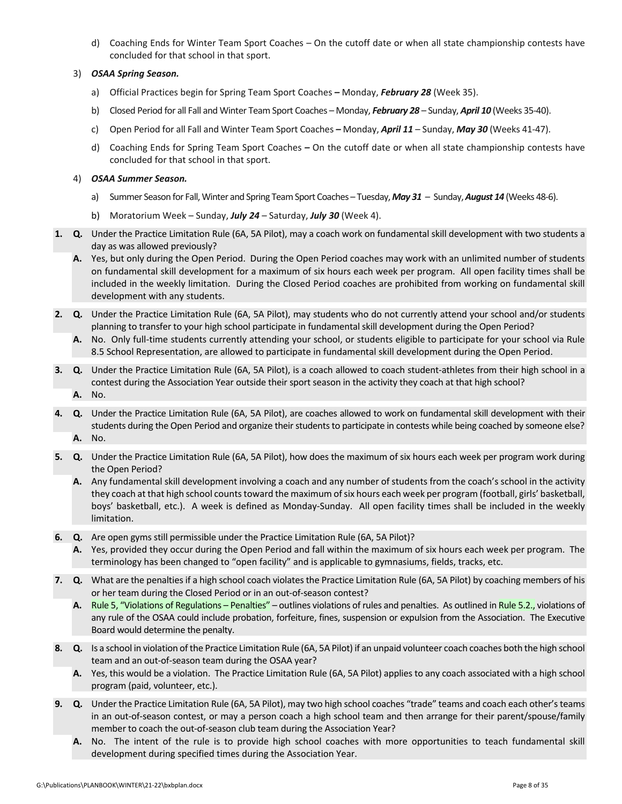d) Coaching Ends for Winter Team Sport Coaches – On the cutoff date or when all state championship contests have concluded for that school in that sport.

#### 3) *OSAA Spring Season.*

- a) Official Practices begin for Spring Team Sport Coaches *–* Monday, *February 28* (Week 35).
- b) Closed Period for all Fall and Winter Team Sport Coaches Monday, *February 28* Sunday, *April 10* (Weeks 35‐40).
- c) Open Period for all Fall and Winter Team Sport Coaches *–* Monday, *April 11* Sunday, *May 30* (Weeks 41‐47).
- d) Coaching Ends for Spring Team Sport Coaches *–* On the cutoff date or when all state championship contests have concluded for that school in that sport.

#### 4) *OSAA Summer Season.*

- a) Summer Season for Fall, Winter and Spring Team Sport Coaches Tuesday, May 31 Sunday, August 14 (Weeks 48-6).
- b) Moratorium Week Sunday, *July 24* Saturday, *July 30* (Week 4).
- **1. Q.** Under the Practice Limitation Rule (6A, 5A Pilot), may a coach work on fundamental skill development with two students a day as was allowed previously?
	- **A.** Yes, but only during the Open Period. During the Open Period coaches may work with an unlimited number of students on fundamental skill development for a maximum of six hours each week per program. All open facility times shall be included in the weekly limitation. During the Closed Period coaches are prohibited from working on fundamental skill development with any students.
- **2. Q.** Under the Practice Limitation Rule (6A, 5A Pilot), may students who do not currently attend your school and/or students planning to transfer to your high school participate in fundamental skill development during the Open Period?
	- **A.** No. Only full‐time students currently attending your school, or students eligible to participate for your school via Rule 8.5 School Representation, are allowed to participate in fundamental skill development during the Open Period.
- **3. Q.** Under the Practice Limitation Rule (6A, 5A Pilot), is a coach allowed to coach student‐athletes from their high school in a contest during the Association Year outside their sport season in the activity they coach at that high school?
	- **A.** No.
- **4. Q.** Under the Practice Limitation Rule (6A, 5A Pilot), are coaches allowed to work on fundamental skill development with their students during the Open Period and organize their students to participate in contests while being coached by someone else? **A.** No.
- **5. Q.** Under the Practice Limitation Rule (6A, 5A Pilot), how does the maximum of six hours each week per program work during the Open Period?
	- **A.** Any fundamental skill development involving a coach and any number of students from the coach's school in the activity they coach at that high school counts toward the maximum of six hours each week per program (football, girls' basketball, boys' basketball, etc.). A week is defined as Monday‐Sunday. All open facility times shall be included in the weekly limitation.
- **6. Q.** Are open gyms still permissible under the Practice Limitation Rule (6A, 5A Pilot)?
	- **A.** Yes, provided they occur during the Open Period and fall within the maximum of six hours each week per program. The terminology has been changed to "open facility" and is applicable to gymnasiums, fields, tracks, etc.
- **7. Q.** What are the penalties if a high school coach violates the Practice Limitation Rule (6A, 5A Pilot) by coaching members of his or her team during the Closed Period or in an out‐of‐season contest?
	- A. Rule 5, "Violations of [Regulations](http://www.osaa.org/governance/handbooks/osaa#_Toc456100268) Penalties" outlines violations of rules and penalties. As outlined in Rule 5.2., violations of any rule of the OSAA could include probation, forfeiture, fines, suspension or expulsion from the Association. The Executive Board would determine the penalty.
- **8. Q.** Is a school in violation of the Practice Limitation Rule (6A, 5A Pilot) if an unpaid volunteer coach coaches both the high school team and an out‐of‐season team during the OSAA year?
	- **A.** Yes, this would be a violation. The Practice Limitation Rule (6A, 5A Pilot) applies to any coach associated with a high school program (paid, volunteer, etc.).
- **9. Q.** Under the Practice Limitation Rule (6A, 5A Pilot), may two high school coaches "trade" teams and coach each other'steams in an out‐of‐season contest, or may a person coach a high school team and then arrange for their parent/spouse/family member to coach the out-of-season club team during the Association Year?
	- A. No. The intent of the rule is to provide high school coaches with more opportunities to teach fundamental skill development during specified times during the Association Year.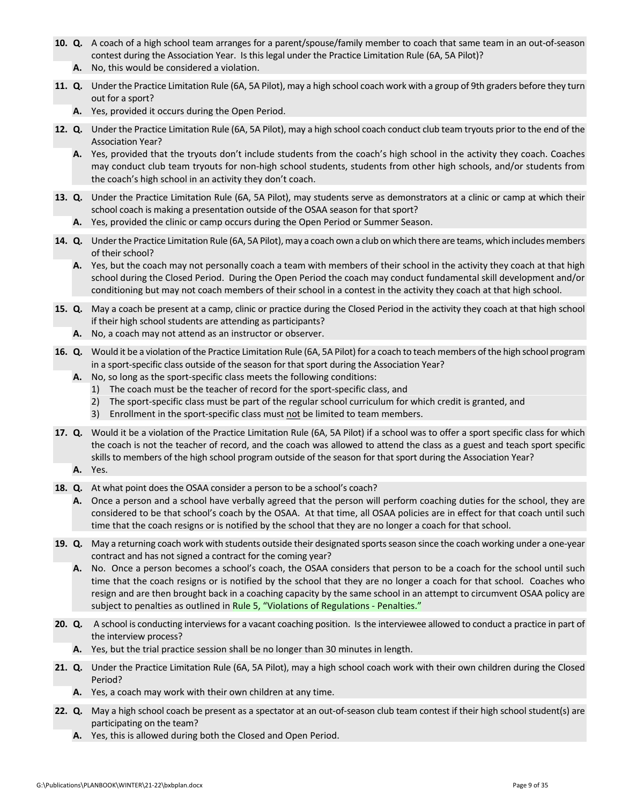- **10. Q.** A coach of a high school team arranges for a parent/spouse/family member to coach that same team in an out‐of‐season contest during the Association Year. Is this legal under the Practice Limitation Rule (6A, 5A Pilot)?
	- **A.** No, this would be considered a violation.
- **11. Q.** Under the Practice Limitation Rule (6A, 5A Pilot), may a high school coach work with a group of 9th graders before they turn out for a sport?
	- **A.** Yes, provided it occurs during the Open Period.
- **12. Q.** Under the Practice Limitation Rule (6A, 5A Pilot), may a high school coach conduct club team tryouts prior to the end of the Association Year?
	- **A.** Yes, provided that the tryouts don't include students from the coach's high school in the activity they coach. Coaches may conduct club team tryouts for non‐high school students, students from other high schools, and/or students from the coach's high school in an activity they don't coach.
- **13. Q.** Under the Practice Limitation Rule (6A, 5A Pilot), may students serve as demonstrators at a clinic or camp at which their school coach is making a presentation outside of the OSAA season for that sport?
	- **A.** Yes, provided the clinic or camp occurs during the Open Period or Summer Season.
- 14. Q. Under the Practice Limitation Rule (6A, 5A Pilot), may a coach own a club on which there are teams, which includes members of their school?
	- **A.** Yes, but the coach may not personally coach a team with members of their school in the activity they coach at that high school during the Closed Period. During the Open Period the coach may conduct fundamental skill development and/or conditioning but may not coach members of their school in a contest in the activity they coach at that high school.
- **15. Q.** May a coach be present at a camp, clinic or practice during the Closed Period in the activity they coach at that high school if their high school students are attending as participants?
	- **A.** No, a coach may not attend as an instructor or observer.
- **16. Q.** Would it be a violation of the Practice Limitation Rule (6A, 5A Pilot) for a coach to teach members of the high school program in a sport-specific class outside of the season for that sport during the Association Year?
	- **A.** No, so long as the sport‐specific class meets the following conditions:
		- 1) The coach must be the teacher of record for the sport‐specific class, and
		- 2) The sport-specific class must be part of the regular school curriculum for which credit is granted, and
		- 3) Enrollment in the sport-specific class must not be limited to team members.
- **17. Q.** Would it be a violation of the Practice Limitation Rule (6A, 5A Pilot) if a school was to offer a sport specific class for which the coach is not the teacher of record, and the coach was allowed to attend the class as a guest and teach sport specific skills to members of the high school program outside of the season for that sport during the Association Year?
	- **A.** Yes.
- **18. Q.** At what point does the OSAA consider a person to be a school's coach?
	- **A.** Once a person and a school have verbally agreed that the person will perform coaching duties for the school, they are considered to be that school's coach by the OSAA. At that time, all OSAA policies are in effect for that coach until such time that the coach resigns or is notified by the school that they are no longer a coach for that school.
- 19. Q. May a returning coach work with students outside their designated sports season since the coach working under a one-year contract and has not signed a contract for the coming year?
	- **A.** No. Once a person becomes a school's coach, the OSAA considers that person to be a coach for the school until such time that the coach resigns or is notified by the school that they are no longer a coach for that school. Coaches who resign and are then brought back in a coaching capacity by the same school in an attempt to circumvent OSAA policy are subject to penalties as outlined in Rule 5, "Violations of [Regulations](http://www.osaa.org/governance/handbooks/osaa#_Toc456100268) - Penalties."
- **20. Q.** A school is conducting interviewsfor a vacant coaching position. Isthe interviewee allowed to conduct a practice in part of the interview process?
	- **A.** Yes, but the trial practice session shall be no longer than 30 minutes in length.
- **21. Q.** Under the Practice Limitation Rule (6A, 5A Pilot), may a high school coach work with their own children during the Closed Period?
	- **A.** Yes, a coach may work with their own children at any time.
- **22. Q.** May a high school coach be present as a spectator at an out‐of‐season club team contest if their high school student(s) are participating on the team?
	- **A.** Yes, this is allowed during both the Closed and Open Period.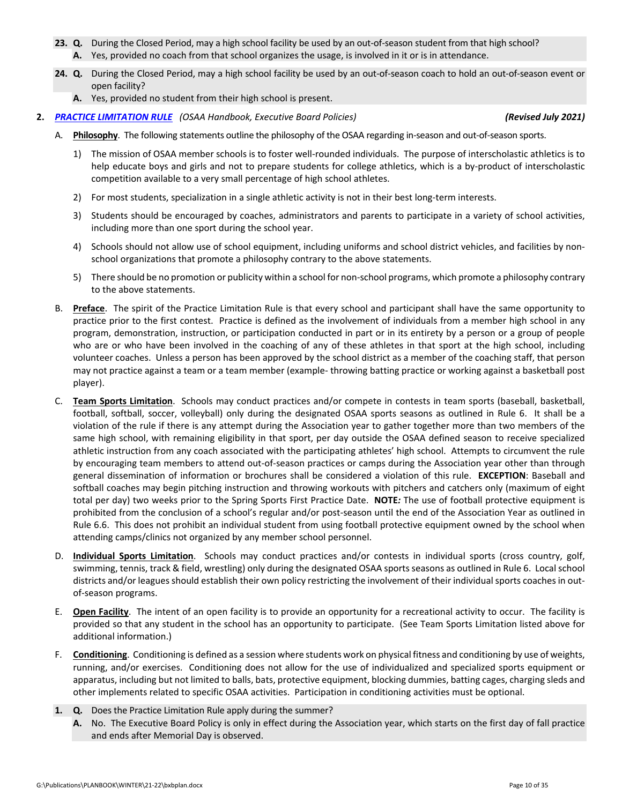- **23. Q.** During the Closed Period, may a high school facility be used by an out‐of‐season student from that high school? **A.** Yes, provided no coach from that school organizes the usage, is involved in it or is in attendance.
- **24. Q.** During the Closed Period, may a high school facility be used by an out‐of‐season coach to hold an out‐of‐season event or open facility?
	- **A.** Yes, provided no student from their high school is present.
- **2.** *PRACTICE [LIMITATION](http://www.osaa.org/governance/handbooks/osaa#_Toc456100421) RULE (OSAA Handbook, Executive Board Policies) (Revised July 2021)*

- A. Philosophy. The following statements outline the philosophy of the OSAA regarding in-season and out-of-season sports.
	- 1) The mission of OSAA member schools is to foster well‐rounded individuals. The purpose of interscholastic athletics is to help educate boys and girls and not to prepare students for college athletics, which is a by-product of interscholastic competition available to a very small percentage of high school athletes.
	- 2) For most students, specialization in a single athletic activity is not in their best long-term interests.
	- 3) Students should be encouraged by coaches, administrators and parents to participate in a variety of school activities, including more than one sport during the school year.
	- 4) Schools should not allow use of school equipment, including uniforms and school district vehicles, and facilities by nonschool organizations that promote a philosophy contrary to the above statements.
	- 5) There should be no promotion or publicity within a school for non-school programs, which promote a philosophy contrary to the above statements.
- B. **Preface**. The spirit of the Practice Limitation Rule is that every school and participant shall have the same opportunity to practice prior to the first contest. Practice is defined as the involvement of individuals from a member high school in any program, demonstration, instruction, or participation conducted in part or in its entirety by a person or a group of people who are or who have been involved in the coaching of any of these athletes in that sport at the high school, including volunteer coaches. Unless a person has been approved by the school district as a member of the coaching staff, that person may not practice against a team or a team member (example‐ throwing batting practice or working against a basketball post player).
- C. **Team Sports Limitation**. Schools may conduct practices and/or compete in contests in team sports (baseball, basketball, football, softball, soccer, volleyball) only during the designated OSAA sports seasons as outlined in Rule 6. It shall be a violation of the rule if there is any attempt during the Association year to gather together more than two members of the same high school, with remaining eligibility in that sport, per day outside the OSAA defined season to receive specialized athletic instruction from any coach associated with the participating athletes' high school. Attempts to circumvent the rule by encouraging team members to attend out‐of‐season practices or camps during the Association year other than through general dissemination of information or brochures shall be considered a violation of this rule. **EXCEPTION**: Baseball and softball coaches may begin pitching instruction and throwing workouts with pitchers and catchers only (maximum of eight total per day) two weeks prior to the Spring Sports First Practice Date. **NOTE***:* The use of football protective equipment is prohibited from the conclusion of a school's regular and/or post-season until the end of the Association Year as outlined in Rule 6.6. This does not prohibit an individual student from using football protective equipment owned by the school when attending camps/clinics not organized by any member school personnel.
- D. **Individual Sports Limitation**. Schools may conduct practices and/or contests in individual sports (cross country, golf, swimming, tennis, track & field, wrestling) only during the designated OSAA sports seasons as outlined in Rule 6. Local school districts and/or leagues should establish their own policy restricting the involvement of their individual sports coaches in outof‐season programs.
- E. **Open Facility**. The intent of an open facility is to provide an opportunity for a recreational activity to occur. The facility is provided so that any student in the school has an opportunity to participate. (See Team Sports Limitation listed above for additional information.)
- F. **Conditioning**. Conditioning is defined as a session where students work on physical fitness and conditioning by use of weights, running, and/or exercises. Conditioning does not allow for the use of individualized and specialized sports equipment or apparatus, including but not limited to balls, bats, protective equipment, blocking dummies, batting cages, charging sleds and other implements related to specific OSAA activities. Participation in conditioning activities must be optional.
- **1. Q.** Does the Practice Limitation Rule apply during the summer?
	- **A.** No. The Executive Board Policy is only in effect during the Association year, which starts on the first day of fall practice and ends after Memorial Day is observed.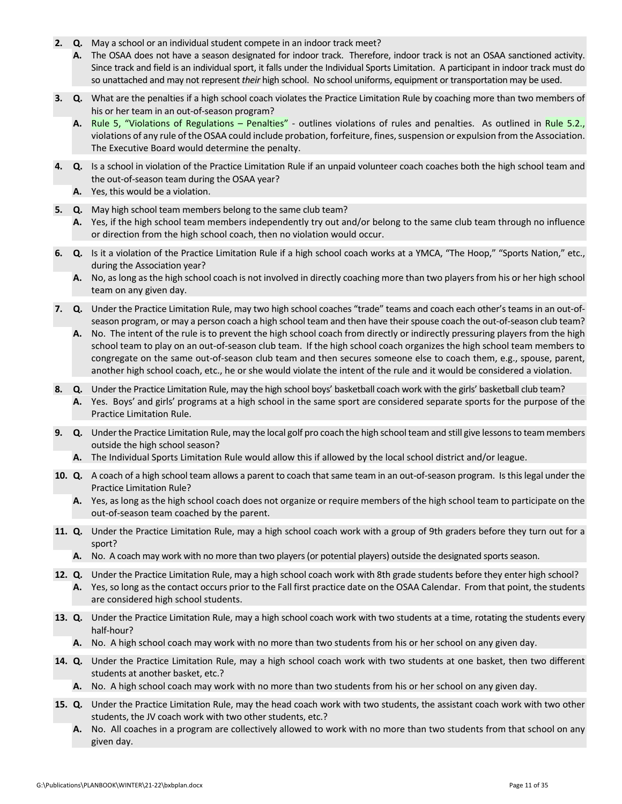- **2. Q.** May a school or an individual student compete in an indoor track meet?
	- **A.** The OSAA does not have a season designated for indoor track. Therefore, indoor track is not an OSAA sanctioned activity. Since track and field is an individual sport, it falls under the Individual Sports Limitation. A participant in indoor track must do so unattached and may not represent *their* high school. No school uniforms, equipment or transportation may be used.
- **3. Q.** What are the penalties if a high school coach violates the Practice Limitation Rule by coaching more than two members of his or her team in an out-of-season program?
	- A. Rule 5, "Violations of [Regulations](http://www.osaa.org/governance/handbooks/osaa#_Toc456100268) Penalties" outlines violations of rules and penalties. As outlined in Rule 5.2., violations of any rule of the OSAA could include probation, forfeiture, fines, suspension or expulsion from the Association. The Executive Board would determine the penalty.
- **4. Q.** Is a school in violation of the Practice Limitation Rule if an unpaid volunteer coach coaches both the high school team and the out-of-season team during the OSAA year?
	- **A.** Yes, this would be a violation.
- **5. Q.** May high school team members belong to the same club team?
	- **A.** Yes, if the high school team members independently try out and/or belong to the same club team through no influence or direction from the high school coach, then no violation would occur.
- **6. Q.** Is it a violation of the Practice Limitation Rule if a high school coach works at a YMCA, "The Hoop," "Sports Nation," etc., during the Association year?
	- **A.** No, aslong asthe high school coach is not involved in directly coaching more than two players from his or her high school team on any given day.
- **7. Q.** Under the Practice Limitation Rule, may two high school coaches "trade" teams and coach each other's teams in an out‐of‐ season program, or may a person coach a high school team and then have their spouse coach the out-of-season club team?
	- **A.** No. The intent of the rule is to prevent the high school coach from directly or indirectly pressuring players from the high school team to play on an out‐of‐season club team. If the high school coach organizes the high school team members to congregate on the same out‐of‐season club team and then secures someone else to coach them, e.g., spouse, parent, another high school coach, etc., he or she would violate the intent of the rule and it would be considered a violation.
- **8. Q.** Under the Practice Limitation Rule, may the high school boys' basketball coach work with the girls' basketball club team? **A.** Yes. Boys' and girls' programs at a high school in the same sport are considered separate sports for the purpose of the Practice Limitation Rule.
- **9.** Q. Under the Practice Limitation Rule, may the local golf pro coach the high school team and still give lessons to team members outside the high school season?
	- **A.** The Individual Sports Limitation Rule would allow this if allowed by the local school district and/or league.
- **10. Q.** A coach of a high school team allows a parent to coach that same team in an out‐of‐season program. Isthis legal under the Practice Limitation Rule?
	- **A.** Yes, as long as the high school coach does not organize or require members of the high school team to participate on the out‐of‐season team coached by the parent.
- **11. Q.** Under the Practice Limitation Rule, may a high school coach work with a group of 9th graders before they turn out for a sport?
	- A. No. A coach may work with no more than two players (or potential players) outside the designated sports season.
- **12. Q.** Under the Practice Limitation Rule, may a high school coach work with 8th grade students before they enter high school?
	- **A.** Yes, so long asthe contact occurs prior to the Fall first practice date on the OSAA Calendar. From that point, the students are considered high school students.
- **13. Q.** Under the Practice Limitation Rule, may a high school coach work with two students at a time, rotating the students every half‐hour?
	- **A.** No. A high school coach may work with no more than two students from his or her school on any given day.
- **14. Q.** Under the Practice Limitation Rule, may a high school coach work with two students at one basket, then two different students at another basket, etc.?
	- **A.** No. A high school coach may work with no more than two students from his or her school on any given day.
- **15. Q.** Under the Practice Limitation Rule, may the head coach work with two students, the assistant coach work with two other students, the JV coach work with two other students, etc.?
	- **A.** No. All coaches in a program are collectively allowed to work with no more than two students from that school on any given day.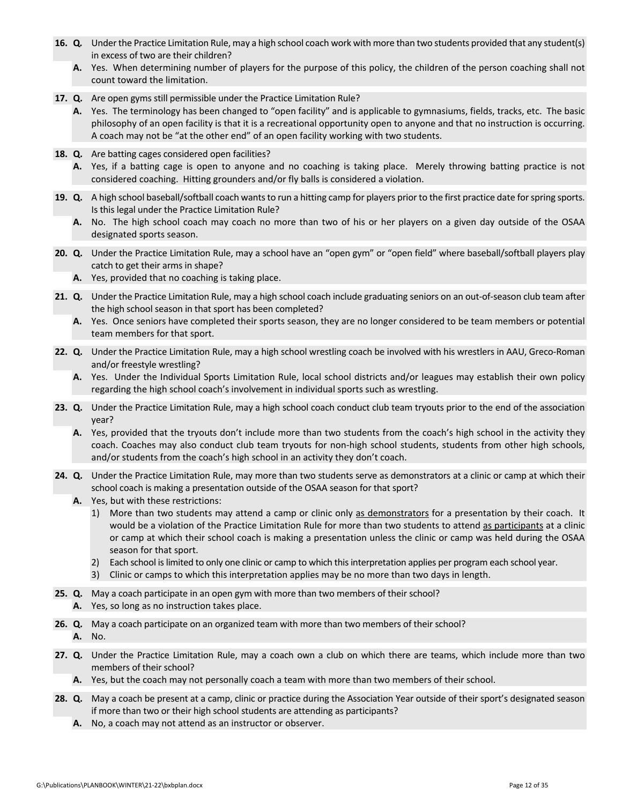- **16. Q.** Under the Practice Limitation Rule, may a high school coach work with more than two students provided that any student(s) in excess of two are their children?
	- **A.** Yes. When determining number of players for the purpose of this policy, the children of the person coaching shall not count toward the limitation.
- **17. Q.** Are open gyms still permissible under the Practice Limitation Rule?
	- **A.** Yes. The terminology has been changed to "open facility" and is applicable to gymnasiums, fields, tracks, etc. The basic philosophy of an open facility is that it is a recreational opportunity open to anyone and that no instruction is occurring. A coach may not be "at the other end" of an open facility working with two students.
- **18. Q.** Are batting cages considered open facilities?
	- **A.** Yes, if a batting cage is open to anyone and no coaching is taking place. Merely throwing batting practice is not considered coaching. Hitting grounders and/or fly balls is considered a violation.
- **19. Q.** A high school baseball/softball coach wants to run a hitting camp for players prior to the first practice date for spring sports. Is this legal under the Practice Limitation Rule?
	- **A.** No. The high school coach may coach no more than two of his or her players on a given day outside of the OSAA designated sports season.
- **20. Q.** Under the Practice Limitation Rule, may a school have an "open gym" or "open field" where baseball/softball players play catch to get their arms in shape?
	- **A.** Yes, provided that no coaching is taking place.
- **21. Q.** Under the Practice Limitation Rule, may a high school coach include graduating seniors on an out‐of‐season club team after the high school season in that sport has been completed?
	- **A.** Yes. Once seniors have completed their sports season, they are no longer considered to be team members or potential team members for that sport.
- **22. Q.** Under the Practice Limitation Rule, may a high school wrestling coach be involved with his wrestlers in AAU, Greco‐Roman and/or freestyle wrestling?
	- **A.** Yes. Under the Individual Sports Limitation Rule, local school districts and/or leagues may establish their own policy regarding the high school coach's involvement in individual sports such as wrestling.
- **23. Q.** Under the Practice Limitation Rule, may a high school coach conduct club team tryouts prior to the end of the association year?
	- **A.** Yes, provided that the tryouts don't include more than two students from the coach's high school in the activity they coach. Coaches may also conduct club team tryouts for non‐high school students, students from other high schools, and/or students from the coach's high school in an activity they don't coach.
- **24. Q.** Under the Practice Limitation Rule, may more than two students serve as demonstrators at a clinic or camp at which their school coach is making a presentation outside of the OSAA season for that sport?
	- **A.** Yes, but with these restrictions:
		- 1) More than two students may attend a camp or clinic only as demonstrators for a presentation by their coach. It would be a violation of the Practice Limitation Rule for more than two students to attend as participants at a clinic or camp at which their school coach is making a presentation unless the clinic or camp was held during the OSAA season for that sport.
		- 2) Each school is limited to only one clinic or camp to which this interpretation applies per program each school year.
		- 3) Clinic or camps to which this interpretation applies may be no more than two days in length.
- **25. Q.** May a coach participate in an open gym with more than two members of their school?
	- **A.** Yes, so long as no instruction takes place.
- **26. Q.** May a coach participate on an organized team with more than two members of their school? **A.** No.
- **27. Q.** Under the Practice Limitation Rule, may a coach own a club on which there are teams, which include more than two members of their school?
	- **A.** Yes, but the coach may not personally coach a team with more than two members of their school.
- **28. Q.** May a coach be present at a camp, clinic or practice during the Association Year outside of their sport's designated season if more than two or their high school students are attending as participants?
	- **A.** No, a coach may not attend as an instructor or observer.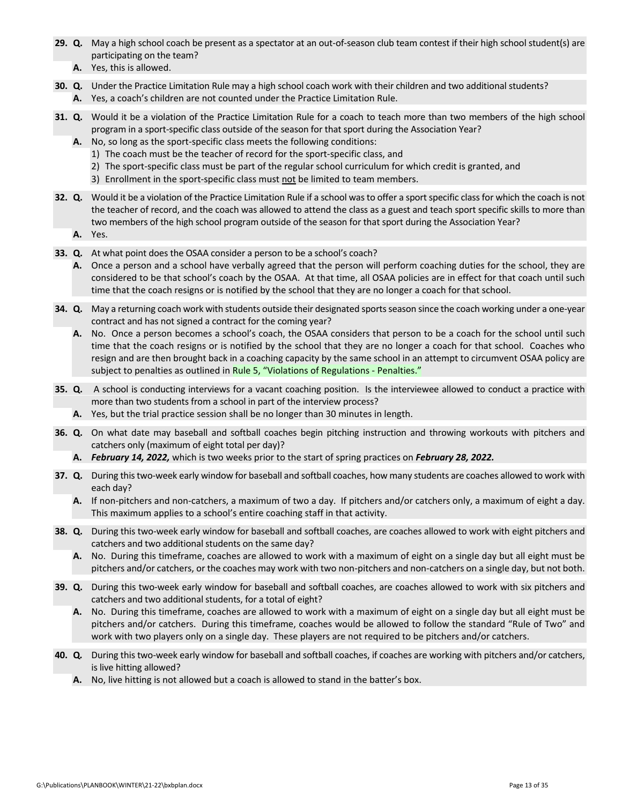- **29.** Q. May a high school coach be present as a spectator at an out-of-season club team contest if their high school student(s) are participating on the team?
	- **A.** Yes, this is allowed.
- **30. Q.** Under the Practice Limitation Rule may a high school coach work with their children and two additional students? **A.** Yes, a coach's children are not counted under the Practice Limitation Rule.
- **31. Q.** Would it be a violation of the Practice Limitation Rule for a coach to teach more than two members of the high school program in a sport-specific class outside of the season for that sport during the Association Year?
	- **A.** No, so long as the sport‐specific class meets the following conditions:
		- 1) The coach must be the teacher of record for the sport‐specific class, and
		- 2) The sport-specific class must be part of the regular school curriculum for which credit is granted, and
		- 3) Enrollment in the sport‐specific class must not be limited to team members.
- **32.** Q. Would it be a violation of the Practice Limitation Rule if a school was to offer a sport specific class for which the coach is not the teacher of record, and the coach was allowed to attend the class as a guest and teach sport specific skills to more than two members of the high school program outside of the season for that sport during the Association Year?
	- **A.** Yes.
- **33. Q.** At what point does the OSAA consider a person to be a school's coach?
	- **A.** Once a person and a school have verbally agreed that the person will perform coaching duties for the school, they are considered to be that school's coach by the OSAA. At that time, all OSAA policies are in effect for that coach until such time that the coach resigns or is notified by the school that they are no longer a coach for that school.
- **34.** Q. May a returning coach work with students outside their designated sports season since the coach working under a one-year contract and has not signed a contract for the coming year?
	- **A.** No. Once a person becomes a school's coach, the OSAA considers that person to be a coach for the school until such time that the coach resigns or is notified by the school that they are no longer a coach for that school. Coaches who resign and are then brought back in a coaching capacity by the same school in an attempt to circumvent OSAA policy are subject to penalties as outlined in Rule 5, "Violations of [Regulations](http://www.osaa.org/governance/handbooks/osaa#_Toc456100268) - Penalties."
- **35. Q.** A school is conducting interviews for a vacant coaching position. Is the interviewee allowed to conduct a practice with more than two students from a school in part of the interview process?
	- **A.** Yes, but the trial practice session shall be no longer than 30 minutes in length.
- **36. Q.** On what date may baseball and softball coaches begin pitching instruction and throwing workouts with pitchers and catchers only (maximum of eight total per day)?
	- **A.** *February 14, 2022,* which is two weeks prior to the start of spring practices on *February 28, 2022.*
- **37. Q.** During thistwo‐week early window for baseball and softball coaches, how many students are coaches allowed to work with each day?
	- **A.** If non‐pitchers and non‐catchers, a maximum of two a day. If pitchers and/or catchers only, a maximum of eight a day. This maximum applies to a school's entire coaching staff in that activity.
- **38.** Q. During this two-week early window for baseball and softball coaches, are coaches allowed to work with eight pitchers and catchers and two additional students on the same day?
	- **A.** No. During this timeframe, coaches are allowed to work with a maximum of eight on a single day but all eight must be pitchers and/or catchers, or the coaches may work with two non-pitchers and non-catchers on a single day, but not both.
- **39. Q.** During this two‐week early window for baseball and softball coaches, are coaches allowed to work with six pitchers and catchers and two additional students, for a total of eight?
	- **A.** No. During this timeframe, coaches are allowed to work with a maximum of eight on a single day but all eight must be pitchers and/or catchers. During this timeframe, coaches would be allowed to follow the standard "Rule of Two" and work with two players only on a single day. These players are not required to be pitchers and/or catchers.
- **40. Q***.* During this two‐week early window for baseball and softball coaches, if coaches are working with pitchers and/or catchers, is live hitting allowed?
	- **A.** No, live hitting is not allowed but a coach is allowed to stand in the batter's box.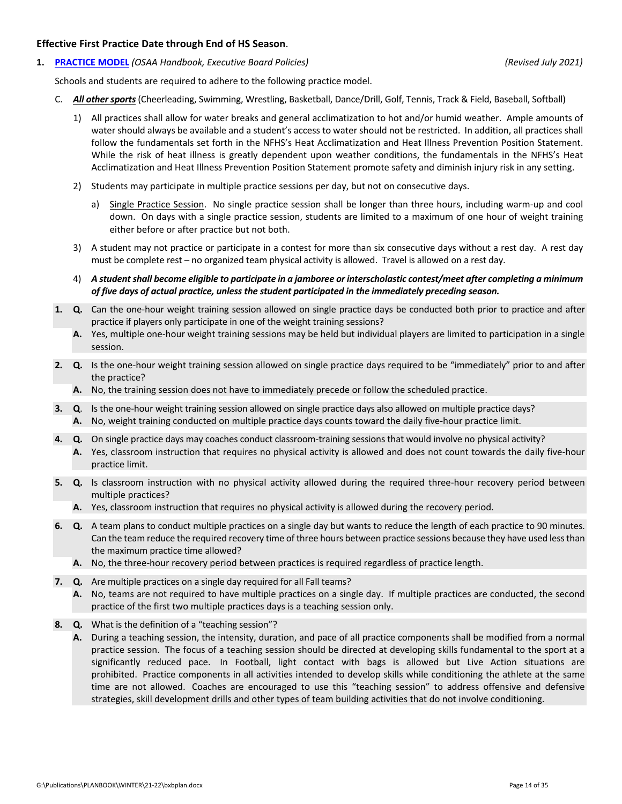#### **Effective First Practice Date through End of HS Season**.

**1. [PRACTICE](http://www.osaa.org/governance/handbooks/osaa#_Toc456100422) MODEL** *(OSAA Handbook, Executive Board Policies) (Revised July 2021)*

Schools and students are required to adhere to the following practice model.

- C. *All other sports* (Cheerleading, Swimming, Wrestling, Basketball, Dance/Drill, Golf, Tennis, Track & Field, Baseball, Softball)
	- 1) All practices shall allow for water breaks and general acclimatization to hot and/or humid weather. Ample amounts of water should always be available and a student's access to water should not be restricted. In addition, all practices shall follow the fundamentals set forth in the NFHS's Heat Acclimatization and Heat Illness Prevention Position Statement. While the risk of heat illness is greatly dependent upon weather conditions, the fundamentals in the NFHS's Heat Acclimatization and Heat Illness Prevention Position Statement promote safety and diminish injury risk in any setting.
	- 2) Students may participate in multiple practice sessions per day, but not on consecutive days.
		- a) Single Practice Session. No single practice session shall be longer than three hours, including warm-up and cool down. On days with a single practice session, students are limited to a maximum of one hour of weight training either before or after practice but not both.
	- 3) A student may not practice or participate in a contest for more than six consecutive days without a rest day. A rest day must be complete rest – no organized team physical activity is allowed. Travel is allowed on a rest day.
	- 4) A student shall become eligible to participate in a jamboree or interscholastic contest/meet after completing a minimum *of five days of actual practice, unless the student participated in the immediately preceding season.*
- **1. Q.** Can the one‐hour weight training session allowed on single practice days be conducted both prior to practice and after practice if players only participate in one of the weight training sessions?
	- **A.** Yes, multiple one‐hour weight training sessions may be held but individual players are limited to participation in a single session.
- **2. Q.** Is the one‐hour weight training session allowed on single practice days required to be "immediately" prior to and after the practice?
	- **A.** No, the training session does not have to immediately precede or follow the scheduled practice.
- **3. Q**. Is the one‐hour weight training session allowed on single practice days also allowed on multiple practice days? **A.** No, weight training conducted on multiple practice days counts toward the daily five‐hour practice limit.
- **4. Q.** On single practice days may coaches conduct classroom‐training sessions that would involve no physical activity?
	- **A.** Yes, classroom instruction that requires no physical activity is allowed and does not count towards the daily five‐hour practice limit.
- **5. Q.** Is classroom instruction with no physical activity allowed during the required three‐hour recovery period between multiple practices?
	- **A.** Yes, classroom instruction that requires no physical activity is allowed during the recovery period.
- **6. Q.** A team plans to conduct multiple practices on a single day but wants to reduce the length of each practice to 90 minutes. Can the team reduce the required recovery time of three hours between practice sessions because they have used lessthan the maximum practice time allowed?
	- **A.** No, the three‐hour recovery period between practices is required regardless of practice length.
- **7. Q.** Are multiple practices on a single day required for all Fall teams?
	- **A.** No, teams are not required to have multiple practices on a single day. If multiple practices are conducted, the second practice of the first two multiple practices days is a teaching session only.
- **8. Q.** What is the definition of a "teaching session"?
	- **A.** During a teaching session, the intensity, duration, and pace of all practice components shall be modified from a normal practice session. The focus of a teaching session should be directed at developing skills fundamental to the sport at a significantly reduced pace. In Football, light contact with bags is allowed but Live Action situations are prohibited. Practice components in all activities intended to develop skills while conditioning the athlete at the same time are not allowed. Coaches are encouraged to use this "teaching session" to address offensive and defensive strategies, skill development drills and other types of team building activities that do not involve conditioning.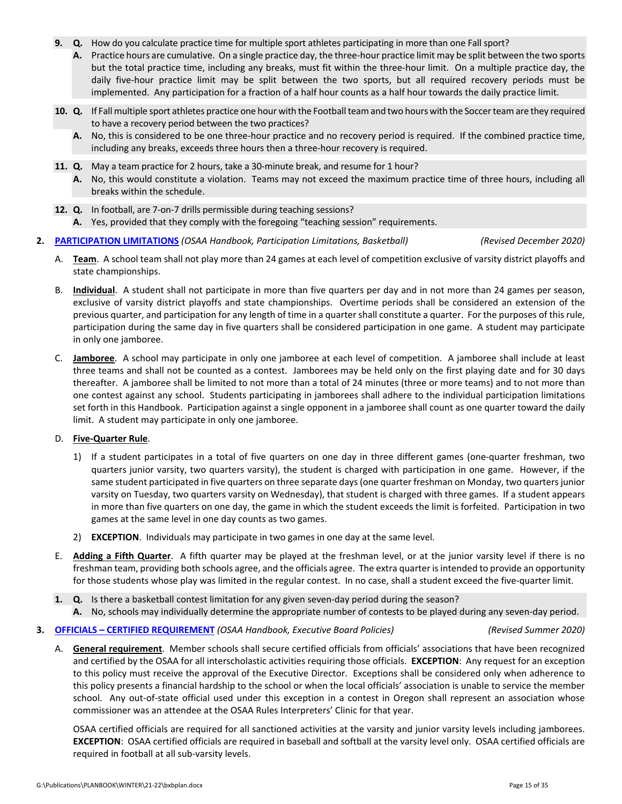- **9. Q.** How do you calculate practice time for multiple sport athletes participating in more than one Fall sport?
	- A. Practice hours are cumulative. On a single practice day, the three-hour practice limit may be split between the two sports but the total practice time, including any breaks, must fit within the three‐hour limit. On a multiple practice day, the daily five‐hour practice limit may be split between the two sports, but all required recovery periods must be implemented. Any participation for a fraction of a half hour counts as a half hour towards the daily practice limit.
- 10. Q. If Fall multiple sport athletes practice one hour with the Football team and two hours with the Soccerteam are they required to have a recovery period between the two practices?
	- **A.** No, this is considered to be one three‐hour practice and no recovery period is required. If the combined practice time, including any breaks, exceeds three hours then a three‐hour recovery is required.
- **11. Q.** May a team practice for 2 hours, take a 30‐minute break, and resume for 1 hour?
	- **A.** No, this would constitute a violation. Teams may not exceed the maximum practice time of three hours, including all breaks within the schedule.
- **12. Q.** In football, are 7‐on‐7 drills permissible during teaching sessions? **A.** Yes, provided that they comply with the foregoing "teaching session" requirements.

#### **2. [PARTICIPATION](http://www.osaa.org/governance/handbooks/osaa#_Toc456100497) LIMITATIONS** *(OSAA Handbook, Participation Limitations, Basketball) (Revised December 2020)*

- A. **Team**. A school team shall not play more than 24 games at each level of competition exclusive of varsity district playoffs and state championships.
- B. **Individual**. A student shall not participate in more than five quarters per day and in not more than 24 games per season, exclusive of varsity district playoffs and state championships. Overtime periods shall be considered an extension of the previous quarter, and participation for any length of time in a quarter shall constitute a quarter. For the purposes of this rule, participation during the same day in five quarters shall be considered participation in one game. A student may participate in only one jamboree.
- C. **Jamboree**. A school may participate in only one jamboree at each level of competition. A jamboree shall include at least three teams and shall not be counted as a contest. Jamborees may be held only on the first playing date and for 30 days thereafter. A jamboree shall be limited to not more than a total of 24 minutes (three or more teams) and to not more than one contest against any school. Students participating in jamborees shall adhere to the individual participation limitations set forth in this Handbook. Participation against a single opponent in a jamboree shall count as one quarter toward the daily limit. A student may participate in only one jamboree.

#### D. **Five‐Quarter Rule**.

- 1) If a student participates in a total of five quarters on one day in three different games (one‐quarter freshman, two quarters junior varsity, two quarters varsity), the student is charged with participation in one game. However, if the same student participated in five quarters on three separate days (one quarter freshman on Monday, two quarters junior varsity on Tuesday, two quarters varsity on Wednesday), that student is charged with three games. If a student appears in more than five quarters on one day, the game in which the student exceeds the limit is forfeited. Participation in two games at the same level in one day counts as two games.
- 2) **EXCEPTION**. Individuals may participate in two games in one day at the same level.
- E. **Adding a Fifth Quarter**. A fifth quarter may be played at the freshman level, or at the junior varsity level if there is no freshman team, providing both schools agree, and the officials agree. The extra quarter isintended to provide an opportunity for those students whose play was limited in the regular contest. In no case, shall a student exceed the five-quarter limit.
- **1. Q.** Is there a basketball contest limitation for any given seven-day period during the season?
	- **A.** No, schools may individually determine the appropriate number of contests to be played during any seven‐day period.

#### **3. OFFICIALS – CERTIFIED [REQUIREMENT](http://www.osaa.org/governance/handbooks/osaa#_Toc456100409)** *(OSAA Handbook, Executive Board Policies) (Revised Summer 2020)*

A. **General requirement**.Member schools shall secure certified officials from officials' associations that have been recognized and certified by the OSAA for all interscholastic activities requiring those officials. **EXCEPTION**: Any request for an exception to this policy must receive the approval of the Executive Director. Exceptions shall be considered only when adherence to this policy presents a financial hardship to the school or when the local officials' association is unable to service the member school. Any out-of-state official used under this exception in a contest in Oregon shall represent an association whose commissioner was an attendee at the OSAA Rules Interpreters' Clinic for that year.

OSAA certified officials are required for all sanctioned activities at the varsity and junior varsity levels including jamborees. **EXCEPTION**: OSAA certified officials are required in baseball and softball at the varsity level only. OSAA certified officials are required in football at all sub‐varsity levels.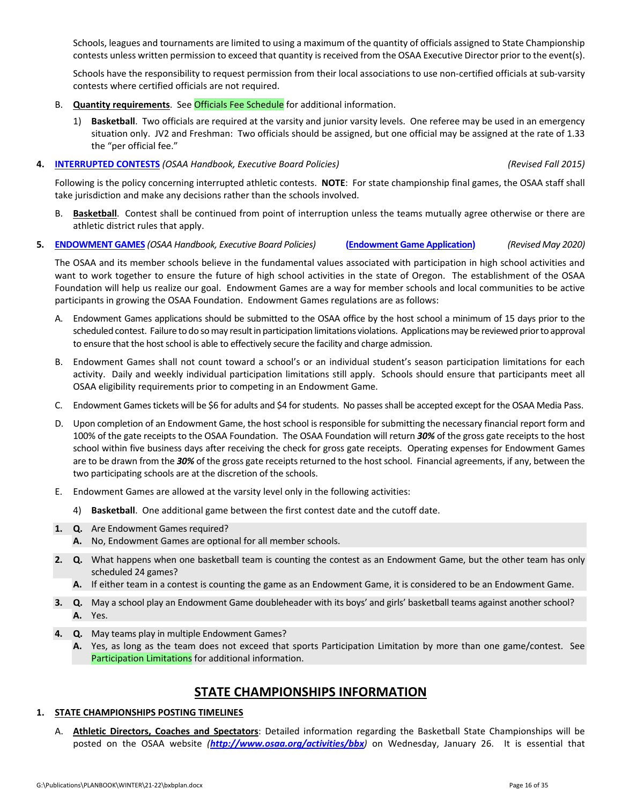Schools, leagues and tournaments are limited to using a maximum of the quantity of officials assigned to State Championship contests unless written permission to exceed that quantity is received from the OSAA Executive Director prior to the event(s).

Schools have the responsibility to request permission from their local associations to use non-certified officials at sub-varsity contests where certified officials are not required.

- B. **Quantity requirements**. See Officials Fee [Schedule](http://www.osaa.org/governance/handbooks/osaa#_Toc456100511) for additional information.
	- 1) **Basketball**. Two officials are required at the varsity and junior varsity levels. One referee may be used in an emergency situation only. JV2 and Freshman: Two officials should be assigned, but one official may be assigned at the rate of 1.33 the "per official fee."
- **4. [INTERRUPTED](http://www.osaa.org/governance/handbooks/osaa#_Toc456100396) CONTESTS** *(OSAA Handbook, Executive Board Policies) (Revised Fall 2015)*

Following is the policy concerning interrupted athletic contests. **NOTE**: For state championship final games, the OSAA staff shall take jurisdiction and make any decisions rather than the schools involved.

- B. **Basketball**. Contest shall be continued from point of interruption unless the teams mutually agree otherwise or there are athletic district rules that apply.
- **5. [ENDOWMENT](http://www.osaa.org/governance/handbooks/osaa#_Toc456100362) GAMES** *(OSAA Handbook, Executive Board Policies)* **[\(Endowment](http://www.osaa.org/governance/forms) Game Application)**  *(Revised May 2020)*

The OSAA and its member schools believe in the fundamental values associated with participation in high school activities and want to work together to ensure the future of high school activities in the state of Oregon. The establishment of the OSAA Foundation will help us realize our goal. Endowment Games are a way for member schools and local communities to be active participants in growing the OSAA Foundation. Endowment Games regulations are as follows:

- A. Endowment Games applications should be submitted to the OSAA office by the host school a minimum of 15 days prior to the scheduled contest. Failure to do so may result in participation limitations violations. Applications may be reviewed prior to approval to ensure that the host school is able to effectively secure the facility and charge admission.
- B. Endowment Games shall not count toward a school's or an individual student's season participation limitations for each activity. Daily and weekly individual participation limitations still apply. Schools should ensure that participants meet all OSAA eligibility requirements prior to competing in an Endowment Game.
- C. Endowment Games tickets will be \$6 for adults and \$4 for students. No passes shall be accepted except for the OSAA Media Pass.
- D. Upon completion of an Endowment Game, the host school is responsible forsubmitting the necessary financial report form and 100% of the gate receipts to the OSAA Foundation. The OSAA Foundation will return *30%* of the gross gate receipts to the host school within five business days after receiving the check for gross gate receipts. Operating expenses for Endowment Games are to be drawn from the 30% of the gross gate receipts returned to the host school. Financial agreements, if any, between the two participating schools are at the discretion of the schools.
- E. Endowment Games are allowed at the varsity level only in the following activities:
	- 4) **Basketball**. One additional game between the first contest date and the cutoff date.
- **1. Q.** Are Endowment Games required?
	- **A.** No, Endowment Games are optional for all member schools.
- **2. Q.** What happens when one basketball team is counting the contest as an Endowment Game, but the other team has only scheduled 24 games?
	- **A.** If either team in a contest is counting the game as an Endowment Game, it is considered to be an Endowment Game.
- **3. Q.** May a school play an Endowment Game doubleheader with its boys' and girls' basketball teams against another school? **A.** Yes.
- **4. Q.** May teams play in multiple Endowment Games?
	- **A.** Yes, as long as the team does not exceed that sports Participation Limitation by more than one game/contest. See [Participation](http://www.osaa.org/governance/handbooks/osaa#_Toc456100497) Limitations for additional information.

## **STATE CHAMPIONSHIPS INFORMATION**

#### **1. STATE CHAMPIONSHIPS POSTING TIMELINES**

A. **Athletic Directors, Coaches and Spectators**: Detailed information regarding the Basketball State Championships will be posted on the OSAA website *(<http://www.osaa.org/activities/bbx>)* on Wednesday, January 26. It is essential that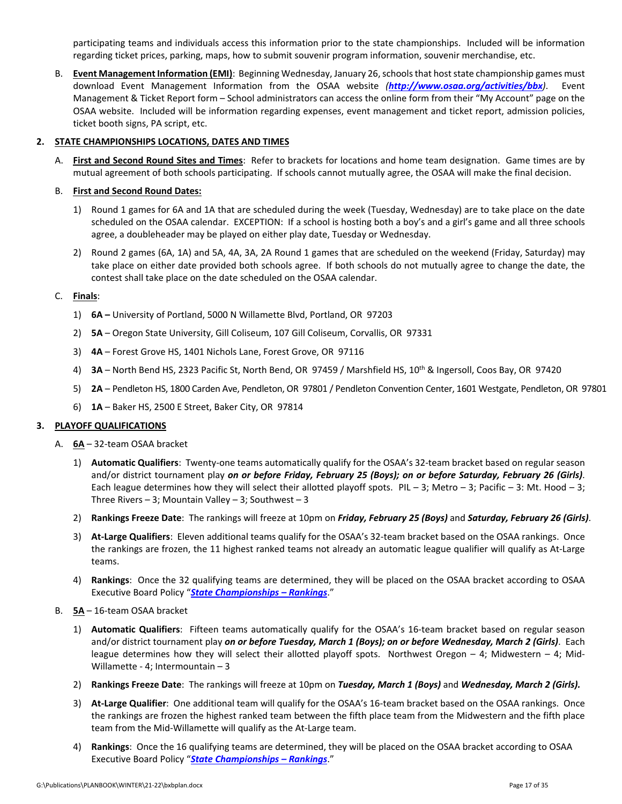participating teams and individuals access this information prior to the state championships. Included will be information regarding ticket prices, parking, maps, how to submit souvenir program information, souvenir merchandise, etc.

B. **Event ManagementInformation (EMI)**: Beginning Wednesday, January 26,schoolsthat hoststate championship games must download Event Management Information from the OSAA website *(<http://www.osaa.org/activities/bbx>)*. Event Management & Ticket Report form – School administrators can access the online form from their "My Account" page on the OSAA website. Included will be information regarding expenses, event management and ticket report, admission policies, ticket booth signs, PA script, etc.

#### **2. STATE CHAMPIONSHIPS LOCATIONS, DATES AND TIMES**

A. **First and Second Round Sites and Times**: Refer to brackets for locations and home team designation. Game times are by mutual agreement of both schools participating. If schools cannot mutually agree, the OSAA will make the final decision.

#### B. **First and Second Round Dates:**

- 1) Round 1 games for 6A and 1A that are scheduled during the week (Tuesday, Wednesday) are to take place on the date scheduled on the OSAA calendar. EXCEPTION: If a school is hosting both a boy's and a girl's game and all three schools agree, a doubleheader may be played on either play date, Tuesday or Wednesday.
- 2) Round 2 games (6A, 1A) and 5A, 4A, 3A, 2A Round 1 games that are scheduled on the weekend (Friday, Saturday) may take place on either date provided both schools agree. If both schools do not mutually agree to change the date, the contest shall take place on the date scheduled on the OSAA calendar.

#### C. **Finals**:

- 1) **6A –** University of Portland, 5000 N Willamette Blvd, Portland, OR 97203
- 2) **5A** Oregon State University, Gill Coliseum, 107 Gill Coliseum, Corvallis, OR 97331
- 3) **4A** Forest Grove HS, 1401 Nichols Lane, Forest Grove, OR 97116
- 4) **3A** North Bend HS, 2323 Pacific St, North Bend, OR 97459 / Marshfield HS, 10th & Ingersoll, Coos Bay, OR 97420
- 5) **2A** Pendleton HS, 1800 Carden Ave, Pendleton, OR 97801 / Pendleton Convention Center, 1601 Westgate, Pendleton, OR 97801
- 6) **1A** Baker HS, 2500 E Street, Baker City, OR 97814

#### **3. PLAYOFF QUALIFICATIONS**

- A. **6A** 32‐team OSAA bracket
	- 1) **Automatic Qualifiers**: Twenty‐one teams automatically qualify for the OSAA's 32‐team bracket based on regular season and/or district tournament play *on or before Friday, February 25 (Boys); on or before Saturday, February 26 (Girls)*. Each league determines how they will select their allotted playoff spots. PIL – 3; Metro – 3; Pacific – 3: Mt. Hood – 3; Three Rivers  $-3$ ; Mountain Valley  $-3$ ; Southwest  $-3$
	- 2) **Rankings Freeze Date**: The rankings will freeze at 10pm on *Friday, February 25 (Boys)* and *Saturday, February 26 (Girls)*.
	- 3) **At‐Large Qualifiers**: Eleven additional teams qualify for the OSAA's 32‐team bracket based on the OSAA rankings. Once the rankings are frozen, the 11 highest ranked teams not already an automatic league qualifier will qualify as At‐Large teams.
	- 4) **Rankings**: Once the 32 qualifying teams are determined, they will be placed on the OSAA bracket according to OSAA Executive Board Policy "*State [Championships](http://www.osaa.org/governance/handbooks/osaa#_Toc456100456) – Rankings*."
- B. **5A** 16‐team OSAA bracket
	- 1) **Automatic Qualifiers**: Fifteen teams automatically qualify for the OSAA's 16‐team bracket based on regular season and/or district tournament play *on or before [Tuesday,](http://www.osaa.org/governance/handbooks/osaa#_Toc456100456) March 1 (Boys); on or before Wednesday, March 2 (Girls)*. Each league determines how they will select their allotted playoff spots. Northwest Oregon – 4; Midwestern – 4; Mid-Willamette ‐ 4; Intermountain – 3
	- 2) **Rankings Freeze Date**:The rankings will freeze at 10pm on *Tuesday, March 1 (Boys)* and *Wednesday, March 2 (Girls).*
	- 3) **At‐Large Qualifier**: One additional team will qualify for the OSAA's 16‐team bracket based on the OSAA rankings. Once the rankings are frozen the highest ranked team between the fifth place team from the Midwestern and the fifth place team from the Mid‐Willamette will qualify as the At‐Large team.
	- 4) **Rankings**: Once the 16 qualifying teams are determined, they will be placed on the OSAA bracket according to OSAA Executive Board Policy "*State [Championships](http://www.osaa.org/governance/handbooks/osaa#_Toc456100456) – Rankings*."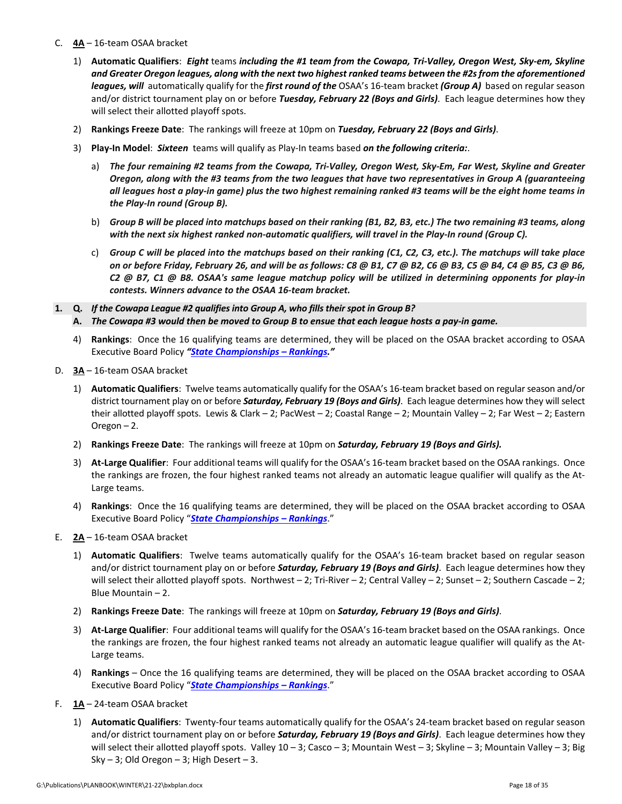- C. **4A** 16‐team OSAA bracket
	- 1) Automatic Qualifiers: Eight teams including the #1 team from the Cowapa, Tri-Valley, Oregon West, Sky-em, Skyline and Greater Oregon leagues, along with the next two highest ranked teams between the #2s from the aforementioned *leagues, will* automatically qualify for the *first round of the* OSAA's 16‐team bracket *(Group A)* based on regular season and/or district tournament play on or before *Tuesday, February 22 (Boys and Girls)*. Each league determines how they will select their allotted playoff spots.
	- 2) **Rankings Freeze Date**: The rankings will freeze at 10pm on *Tuesday, February 22 (Boys and Girls)*.
	- 3) **Play‐In Model**: *Sixteen* teams will qualify as Play‐In teams based *on the following criteria:*.
		- a) The four remaining #2 teams from the Cowapa, Tri-Valley, Oregon West, Sky-Em, Far West, Skyline and Greater Oregon, along with the #3 teams from the two leagues that have two representatives in Group A (guaranteeing all leagues host a play-in game) plus the two highest remaining ranked #3 teams will be the eight home teams in *the Play‐In round (Group B).*
		- b) Group B will be placed into matchups based on their ranking (B1, B2, B3, etc.) The two remaining #3 teams, along with the next six highest ranked non-automatic qualifiers, will travel in the Play-In round (Group C).
		- c) Group C will be placed into the matchups based on their ranking (C1, C2, C3, etc.). The matchups will take place on or before Friday, February 26, and will be as follows: C8 @ B1, C7 @ B2, C6 @ B3, C5 @ B4, C4 @ B5, C3 @ B6, C2 @ B7, C1 @ B8. OSAA's same league matchup policy will be utilized in determining opponents for play-in *contests. Winners advance to the OSAA 16‐team bracket.*
- **1. Q.** *If the Cowapa League #2 qualifies into Group A, who fills their spot in Group B?*  A. The Cowapa #3 would then be moved to Group B to ensue that each league hosts a pay-in game.
	- 4) **Rankings**: Once the 16 qualifying teams are determined, they will be placed on the OSAA bracket according to OSAA Executive Board Policy *"State [Championships](http://www.osaa.org/governance/handbooks/osaa#_Toc456100456) – Rankings."*
- D. **3A** 16‐team OSAA bracket
	- 1) Automatic Qualifiers: Twelve teams automatically qualify for the OSAA's 16-team bracket based on regular season and/or district tournament play on or before *Saturday, February 19 (Boys and Girls)*. Each league determines how they will select their allotted playoff spots. Lewis & Clark – 2; PacWest – 2; Coastal Range – 2; Mountain Valley – 2; Far West – 2; Eastern Oregon – 2.
	- 2) **Rankings Freeze Date**: The rankings will freeze at 10pm on *Saturday, February 19 (Boys and Girls).*
	- 3) **At‐Large Qualifier**: Four additional teams will qualify for the OSAA's 16‐team bracket based on the OSAA rankings. Once the rankings are frozen, the four highest ranked teams not already an automatic league qualifier will qualify as the At‐ Large teams.
	- 4) **Rankings**: Once the 16 qualifying teams are determined, they will be placed on the OSAA bracket according to OSAA Executive Board Policy "*State [Championships](http://www.osaa.org/governance/handbooks/osaa#_Toc456100456) – Rankings*."
- E. **2A** 16‐team OSAA bracket
	- 1) **Automatic Qualifiers**: Twelve teams automatically qualify for the OSAA's 16‐team bracket based on regular season and/or district tournament play on or before *Saturday, February 19 (Boys and Girls)*. Each league determines how they will select their allotted playoff spots. Northwest – 2; Tri-River – 2; Central Valley – 2; Sunset – 2; Southern Cascade – 2; Blue Mountain – 2.
	- 2) **Rankings Freeze Date**: The rankings will freeze at 10pm on *Saturday, February 19 (Boys and Girls)*.
	- 3) **At‐Large Qualifier**: Four additional teams will qualify for the OSAA's 16‐team bracket based on the OSAA rankings. Once the rankings are frozen, the four highest ranked teams not already an automatic league qualifier will qualify as the At‐ Large teams.
	- 4) **Rankings** Once the 16 qualifying teams are determined, they will be placed on the OSAA bracket according to OSAA Executive Board Policy "*State [Championships](http://www.osaa.org/governance/handbooks/osaa#_Toc456100456) – Rankings*."
- F. **1A** 24‐team OSAA bracket
	- 1) **Automatic Qualifiers**: Twenty‐four teams automatically qualify for the OSAA's 24‐team bracket based on regular season and/or district tournament play on or before *Saturday, February 19 (Boys and Girls)*. Each league determines how they will select their allotted playoff spots. Valley 10 – 3; Casco – 3; Mountain West – 3; Skyline – 3; Mountain Valley – 3; Big Sky  $-3$ ; Old Oregon  $-3$ ; High Desert  $-3$ .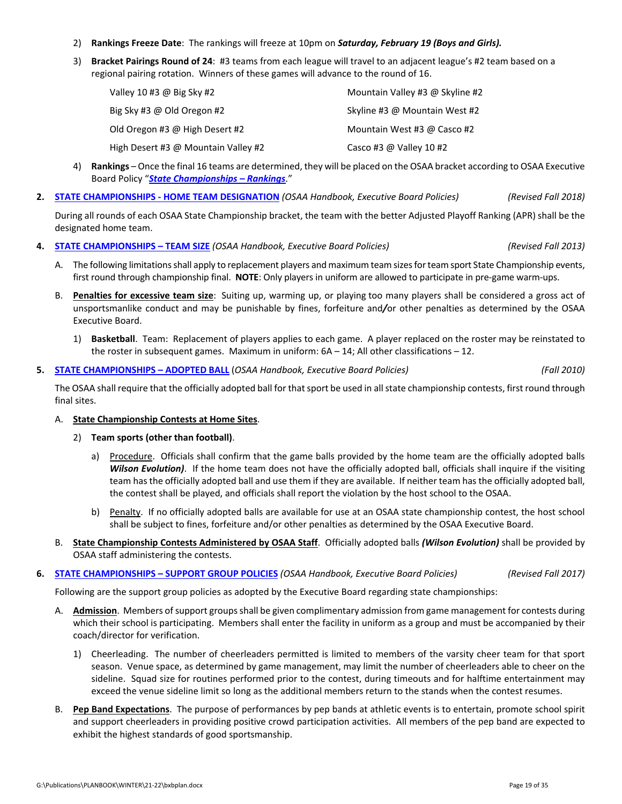- 2) **Rankings Freeze Date**: The rankings will freeze at 10pm on *Saturday, February 19 (Boys and Girls).*
- 3) **Bracket Pairings Round of 24**: #3 teams from each league will travel to an adjacent league's #2 team based on a regional pairing rotation. Winners of these games will advance to the round of 16.

| Valley 10 #3 @ Big Sky #2           | Mountain Valley #3 @ Skyline #2 |
|-------------------------------------|---------------------------------|
| Big Sky #3 @ Old Oregon #2          | Skyline #3 @ Mountain West #2   |
| Old Oregon #3 @ High Desert #2      | Mountain West #3 @ Casco #2     |
| High Desert #3 @ Mountain Valley #2 | Casco #3 @ Valley 10 #2         |

- 4) **Rankings** Once the final 16 teams are determined, they will be placed on the OSAA bracket according to OSAA Executive Board Policy "*State [Championships](http://www.osaa.org/governance/handbooks/osaa#_Toc456100456) – Rankings*."
- **2. STATE [CHAMPIONSHIPS](http://www.osaa.org/governance/handbooks/osaa#_Toc456100447) ‐ HOME TEAM DESIGNATION** *(OSAA Handbook, Executive Board Policies) (Revised Fall 2018)*

During all rounds of each OSAA State Championship bracket, the team with the better Adjusted Playoff Ranking (APR) shall be the designated home team.

- **4. STATE [CHAMPIONSHIPS](http://www.osaa.org/governance/handbooks/osaa#_Toc456100459) – TEAM SIZE** *(OSAA Handbook, Executive Board Policies) (Revised Fall 2013)*
	- A. The following limitations shall apply to replacement players and maximum team sizes for team sport State Championship events, first round through championship final. **NOTE**: Only players in uniform are allowed to participate in pre-game warm-ups.
	- B. **Penalties for excessive team size**: Suiting up, warming up, or playing too many players shall be considered a gross act of unsportsmanlike conduct and may be punishable by fines, forfeiture and*/*or other penalties as determined by the OSAA Executive Board.
		- 1) **Basketball**. Team: Replacement of players applies to each game. A player replaced on the roster may be reinstated to the roster in subsequent games. Maximum in uniform:  $6A - 14$ ; All other classifications  $-12$ .

#### **5. STATE [CHAMPIONSHIPS](http://www.osaa.org/governance/handbooks/osaa#_Toc456100435) – ADOPTED BALL** (*OSAA Handbook, Executive Board Policies) (Fall 2010)*

The OSAA shall require that the officially adopted ball for that sport be used in all state championship contests, first round through final sites.

#### A. **State Championship Contests at Home Sites**.

- 2) **Team sports (other than football)**.
	- a) Procedure. Officials shall confirm that the game balls provided by the home team are the officially adopted balls *Wilson Evolution)*. If the home team does not have the officially adopted ball, officials shall inquire if the visiting team hasthe officially adopted ball and use them if they are available. If neither team has the officially adopted ball, the contest shall be played, and officials shall report the violation by the host school to the OSAA.
	- b) Penalty. If no officially adopted balls are available for use at an OSAA state championship contest, the host school shall be subject to fines, forfeiture and/or other penalties as determined by the OSAA Executive Board.
- B. **State Championship Contests Administered by OSAA Staff**. Officially adopted balls *(Wilson Evolution)* shall be provided by OSAA staff administering the contests.

#### **6. STATE [CHAMPIONSHIPS](http://www.osaa.org/governance/handbooks/osaa#_Toc456100458) – SUPPORT GROUP POLICIES** *(OSAA Handbook, Executive Board Policies) (Revised Fall 2017)*

Following are the support group policies as adopted by the Executive Board regarding state championships:

- A. **Admission**. Members of support groups shall be given complimentary admission from game management for contests during which their school is participating. Members shall enter the facility in uniform as a group and must be accompanied by their coach/director for verification.
	- 1) Cheerleading. The number of cheerleaders permitted is limited to members of the varsity cheer team for that sport season. Venue space, as determined by game management, may limit the number of cheerleaders able to cheer on the sideline. Squad size for routines performed prior to the contest, during timeouts and for halftime entertainment may exceed the venue sideline limit so long as the additional members return to the stands when the contest resumes.
- B. **Pep Band Expectations**. The purpose of performances by pep bands at athletic events is to entertain, promote school spirit and support cheerleaders in providing positive crowd participation activities. All members of the pep band are expected to exhibit the highest standards of good sportsmanship.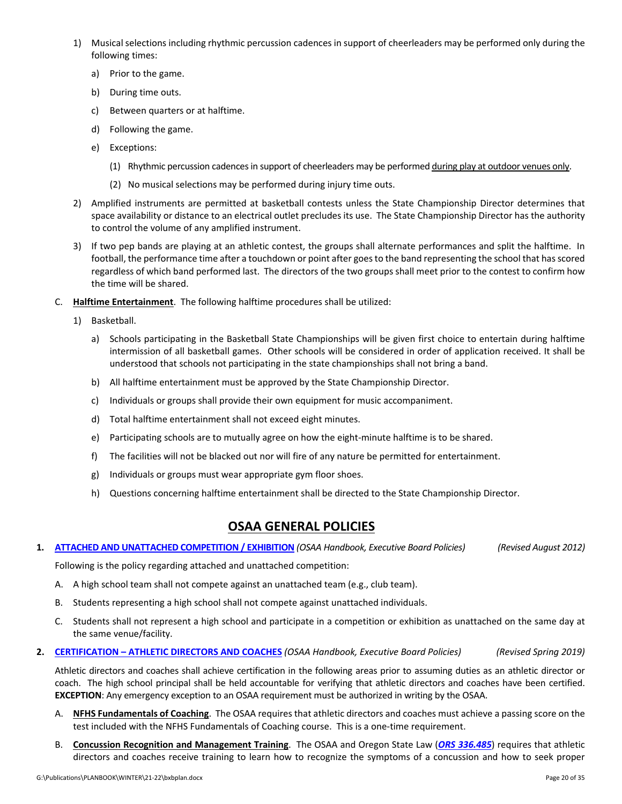- 1) Musical selections including rhythmic percussion cadences in support of cheerleaders may be performed only during the following times:
	- a) Prior to the game.
	- b) During time outs.
	- c) Between quarters or at halftime.
	- d) Following the game.
	- e) Exceptions:
		- (1) Rhythmic percussion cadences in support of cheerleaders may be performed during play at outdoor venues only.
		- (2) No musical selections may be performed during injury time outs.
- 2) Amplified instruments are permitted at basketball contests unless the State Championship Director determines that space availability or distance to an electrical outlet precludes its use. The State Championship Director has the authority to control the volume of any amplified instrument.
- 3) If two pep bands are playing at an athletic contest, the groups shall alternate performances and split the halftime. In football, the performance time after a touchdown or point after goes to the band representing the school that has scored regardless of which band performed last. The directors of the two groups shall meet prior to the contest to confirm how the time will be shared.
- C. **Halftime Entertainment**. The following halftime procedures shall be utilized:
	- 1) Basketball.
		- a) Schools participating in the Basketball State Championships will be given first choice to entertain during halftime intermission of all basketball games. Other schools will be considered in order of application received. It shall be understood that schools not participating in the state championships shall not bring a band.
		- b) All halftime entertainment must be approved by the State Championship Director.
		- c) Individuals or groups shall provide their own equipment for music accompaniment.
		- d) Total halftime entertainment shall not exceed eight minutes.
		- e) Participating schools are to mutually agree on how the eight‐minute halftime is to be shared.
		- f) The facilities will not be blacked out nor will fire of any nature be permitted for entertainment.
		- g) Individuals or groups must wear appropriate gym floor shoes.
		- h) Questions concerning halftime entertainment shall be directed to the State Championship Director.

## **OSAA GENERAL POLICIES**

1. ATTACHED AND UNATTACHED [COMPETITION](http://www.osaa.org/governance/handbooks/osaa#_Toc456100326) / EXHIBITION (OSAA Handbook, Executive Board Policies) (Revised August 2012)

Following is the policy regarding attached and unattached competition:

- A. A high school team shall not compete against an unattached team (e.g., club team).
- B. Students representing a high school shall not compete against unattached individuals.
- C. Students shall not represent a high school and participate in a competition or exhibition as unattached on the same day at the same venue/facility.
- **2. [CERTIFICATION](http://www.osaa.org/governance/handbooks/osaa#_Toc456100330) – ATHLETIC DIRECTORS AND COACHES** *(OSAA Handbook, Executive Board Policies) (Revised Spring 2019)*

Athletic directors and coaches shall achieve certification in the following areas prior to assuming duties as an athletic director or coach. The high school principal shall be held accountable for verifying that athletic directors and coaches have been certified. **EXCEPTION**: Any emergency exception to an OSAA requirement must be authorized in writing by the OSAA.

- A. **NFHS Fundamentals of Coaching**. The OSAA requires that athletic directors and coaches must achieve a passing score on the test included with the NFHS Fundamentals of Coaching course. This is a one-time requirement.
- B. **Concussion Recognition and Management Training**. The OSAA and Oregon State Law (*ORS [336.485](https://www.oregonlegislature.gov/bills_laws/Pages/Oregon-Laws.aspx)*) requires that athletic directors and coaches receive training to learn how to recognize the symptoms of a concussion and how to seek proper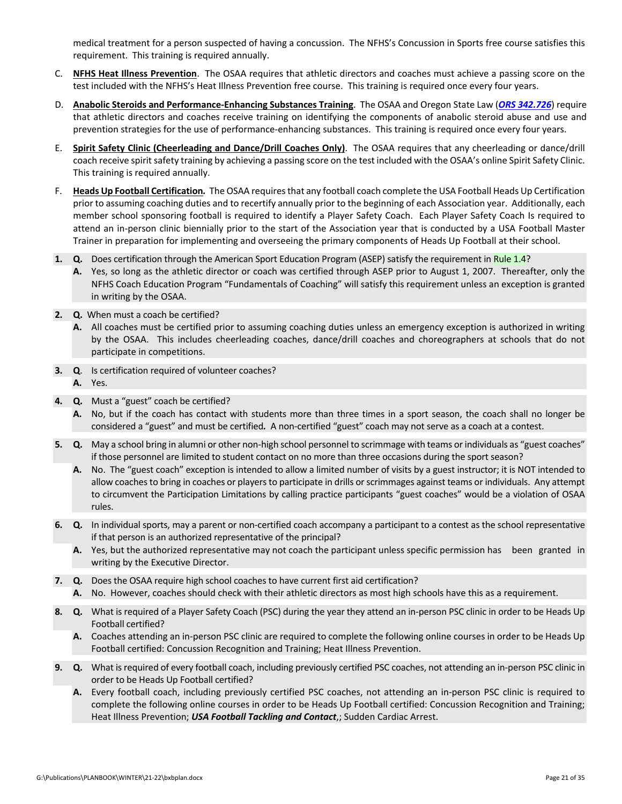medical treatment for a person suspected of having a concussion. The NFHS's Concussion in Sports free course satisfies this requirement. This training is required annually.

- C. **NFHS Heat Illness Prevention**. The OSAA requires that athletic directors and coaches must achieve a passing score on the test included with the NFHS's Heat Illness Prevention free course. This training is required once every four years.
- D. **Anabolic Steroids and Performance‐Enhancing Substances Training**. The OSAA and Oregon State Law (*ORS [342.726](https://www.oregonlegislature.gov/bills_laws/Pages/Oregon-Laws.aspx)*) require that athletic directors and coaches receive training on identifying the components of anabolic steroid abuse and use and prevention strategies for the use of performance-enhancing substances. This training is required once every four years.
- E. **Spirit Safety Clinic (Cheerleading and Dance/Drill Coaches Only)**. The OSAA requires that any cheerleading or dance/drill coach receive spirit safety training by achieving a passing score on the test included with the OSAA's online Spirit Safety Clinic. This training is required annually.
- F. **Heads Up Football Certification***.*The OSAA requiresthat any football coach complete the USA Football Heads Up Certification prior to assuming coaching duties and to recertify annually prior to the beginning of each Association year. Additionally, each member school sponsoring football is required to identify a Player Safety Coach. Each Player Safety Coach Is required to attend an in-person clinic biennially prior to the start of the Association year that is conducted by a USA Football Master Trainer in preparation for implementing and overseeing the primary components of Heads Up Football at their school.
- **1. Q.** Does certification through the American Sport Education Program (ASEP) satisfy the requirement in [Rule](http://www.osaa.org/governance/handbooks/osaa#_Toc456100264) 1.4?
	- **A.** Yes, so long as the athletic director or coach was certified through ASEP prior to August 1, 2007. Thereafter, only the NFHS Coach Education Program "Fundamentals of Coaching" will satisfy this requirement unless an exception is granted in writing by the OSAA.
- **2. Q.** When must a coach be certified?
	- **A.** All coaches must be certified prior to assuming coaching duties unless an emergency exception is authorized in writing by the OSAA. This includes cheerleading coaches, dance/drill coaches and choreographers at schools that do not participate in competitions.
- **3. Q**. Is certification required of volunteer coaches? **A.** Yes.
- **4. Q.** Must a "guest" coach be certified?
	- **A.** No, but if the coach has contact with students more than three times in a sport season, the coach shall no longer be considered a "guest" and must be certified*.* A non‐certified "guest" coach may not serve as a coach at a contest.
- **5. Q.** May a school bring in alumni or other non‐high school personnel to scrimmage with teams or individuals as "guest coaches" if those personnel are limited to student contact on no more than three occasions during the sport season?
	- **A.** No. The "guest coach" exception is intended to allow a limited number of visits by a guest instructor; it is NOT intended to allow coaches to bring in coaches or players to participate in drills or scrimmages against teams or individuals. Any attempt to circumvent the Participation Limitations by calling practice participants "guest coaches" would be a violation of OSAA rules.
- **6. Q.** In individual sports, may a parent or non‐certified coach accompany a participant to a contest as the school representative if that person is an authorized representative of the principal?
	- **A.** Yes, but the authorized representative may not coach the participant unless specific permission has been granted in writing by the Executive Director.
- **7. Q.** Does the OSAA require high school coaches to have current first aid certification?
	- **A.** No. However, coaches should check with their athletic directors as most high schools have this as a requirement.
- **8. Q.** What is required of a Player Safety Coach (PSC) during the year they attend an in‐person PSC clinic in order to be Heads Up Football certified?
	- **A.** Coaches attending an in‐person PSC clinic are required to complete the following online courses in order to be Heads Up Football certified: Concussion Recognition and Training; Heat Illness Prevention.
- **9. Q.** What isrequired of every football coach, including previously certified PSC coaches, not attending an in‐person PSC clinic in order to be Heads Up Football certified?
	- **A.** Every football coach, including previously certified PSC coaches, not attending an in‐person PSC clinic is required to complete the following online courses in order to be Heads Up Football certified: Concussion Recognition and Training; Heat Illness Prevention; *USA Football Tackling and Contact*,; Sudden Cardiac Arrest.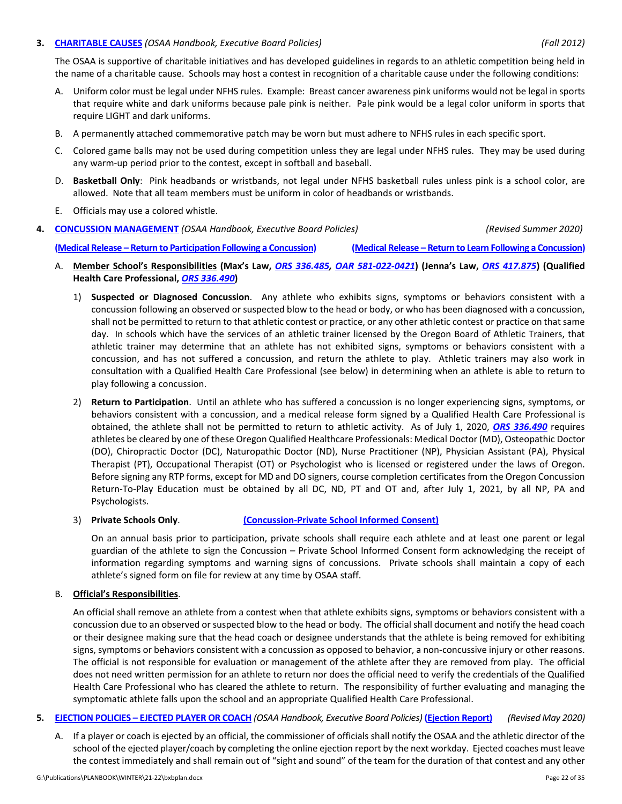#### **3. [CHARITABLE](http://www.osaa.org/governance/handbooks/osaa#_Toc456100331) CAUSES** *(OSAA Handbook, Executive Board Policies) (Fall 2012)*

The OSAA is supportive of charitable initiatives and has developed guidelines in regards to an athletic competition being held in the name of a charitable cause. Schools may host a contest in recognition of a charitable cause under the following conditions:

- A. Uniform color must be legal under NFHS rules. Example: Breast cancer awareness pink uniforms would not be legal in sports that require white and dark uniforms because pale pink is neither. Pale pink would be a legal color uniform in sports that require LIGHT and dark uniforms.
- B. A permanently attached commemorative patch may be worn but must adhere to NFHS rules in each specific sport.
- C. Colored game balls may not be used during competition unless they are legal under NFHS rules. They may be used during any warm‐up period prior to the contest, except in softball and baseball.
- D. **Basketball Only**: Pink headbands or wristbands, not legal under NFHS basketball rules unless pink is a school color, are allowed. Note that all team members must be uniform in color of headbands or wristbands.
- E. Officials may use a colored whistle.

### **4. CONCUSSION [MANAGEMENT](http://www.osaa.org/governance/handbooks/osaa#_Toc456100338)** *(OSAA Handbook, Executive Board Policies) (Revised Summer 2020)*

(Medical Release - Return to [Participation](http://www.osaa.org/governance/forms) Following a Concussion) (Medical Release - Return to Learn Following a Concussion)

- A. Member School's Responsibilities (Max's Law, ORS [336.485,](https://www.oregonlegislature.gov/bills_laws/Pages/Oregon-Laws.aspx) OAR 581-022-0421) (Jenna's Law, ORS 417.875) (Qualified **Health Care Professional,** *ORS 336.490***)**
	- 1) **Suspected or Diagnosed Concussion**. Any athlete who exhibits signs, symptoms or behaviors consistent with a concussion following an observed or suspected blow to the head or body, or who has been diagnosed with a concussion, shall not be permitted to return to that athletic contest or practice, or any other athletic contest or practice on that same day. In schools which have the services of an athletic trainer licensed by the Oregon Board of Athletic Trainers, that athletic trainer may determine that an athlete has not exhibited signs, symptoms or behaviors consistent with a concussion, and has not suffered a concussion, and return the athlete to play. Athletic trainers may also work in consultation with a Qualified Health Care Professional (see below) in determining when an athlete is able to return to play following a concussion.
	- 2) **Return to Participation**. Until an athlete who has suffered a concussion is no longer experiencing signs, symptoms, or behaviors consistent with a concussion, and a medical release form signed by a Qualified Health Care Professional is obtained, the athlete shall not be permitted to return to athletic activity. As of July 1, 2020, *ORS [336.490](https://www.oregonlegislature.gov/bills_laws/Pages/Oregon-Laws.aspx)* requires athletes be cleared by one of these Oregon Qualified Healthcare Professionals: Medical Doctor (MD), Osteopathic Doctor (DO), Chiropractic Doctor (DC), Naturopathic Doctor (ND), Nurse Practitioner (NP), Physician Assistant (PA), Physical Therapist (PT), Occupational Therapist (OT) or Psychologist who is licensed or registered under the laws of Oregon. Before signing any RTP forms, except for MD and DO signers, course completion certificatesfrom the Oregon Concussion Return‐To‐Play Education must be obtained by all DC, ND, PT and OT and, after July 1, 2021, by all NP, PA and Psychologists.
	- 3) **Private Schools Only**. **[\(Concussion](http://www.osaa.org/governance/forms)‐Private School Informed Consent)**

On an annual basis prior to participation, private schools shall require each athlete and at least one parent or legal guardian of the athlete to sign the Concussion – Private School Informed Consent form acknowledging the receipt of information regarding symptoms and warning signs of concussions. Private schools shall maintain a copy of each athlete's signed form on file for review at any time by OSAA staff.

#### B. **Official's Responsibilities**.

An official shall remove an athlete from a contest when that athlete exhibits signs, symptoms or behaviors consistent with a concussion due to an observed or suspected blow to the head or body. The official shall document and notify the head coach or their designee making sure that the head coach or designee understands that the athlete is being removed for exhibiting signs, symptoms or behaviors consistent with a concussion as opposed to behavior, a non-concussive injury or other reasons. The official is not responsible for evaluation or management of the athlete after they are removed from play. The official does not need written permission for an athlete to return nor does the official need to verify the credentials of the Qualified Health Care Professional who has cleared the athlete to return. The responsibility of further evaluating and managing the symptomatic athlete falls upon the school and an appropriate Qualified Health Care Professional.

#### 5. [EJECTION](http://www.osaa.org/governance/handbooks/osaa#_Toc456100349) POLICIES - EJECTED PLAYER OR COACH (OSAA Handbook, Executive Board Policies) [\(Ejection](http://www.osaa.org/governance/forms) Report) (Revised May 2020)

A. If a player or coach is ejected by an official, the commissioner of officials shall notify the OSAA and the athletic director of the school of the ejected player/coach by completing the online ejection report by the next workday. Ejected coaches must leave the contest immediately and shall remain out of "sight and sound" of the team for the duration of that contest and any other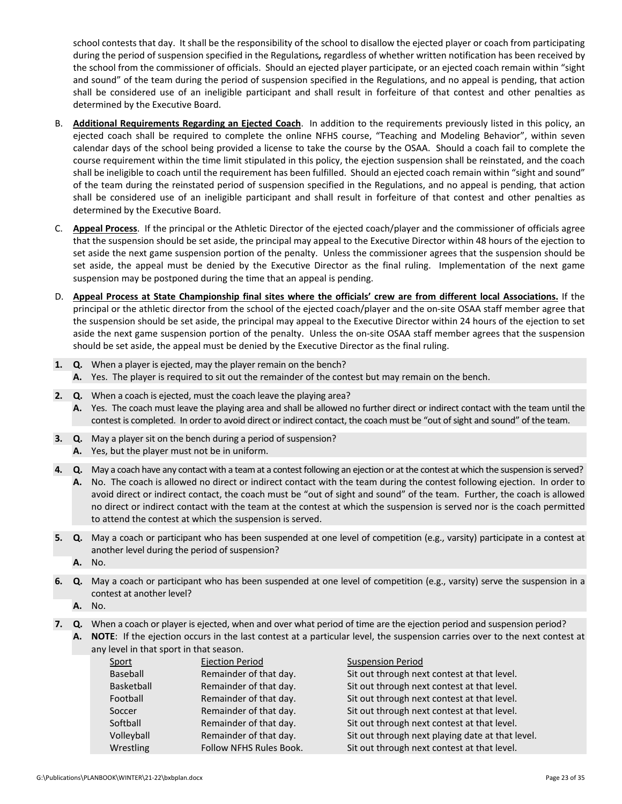school contests that day. It shall be the responsibility of the school to disallow the ejected player or coach from participating during the period of suspension specified in the Regulations*,* regardless of whether written notification has been received by the school from the commissioner of officials. Should an ejected player participate, or an ejected coach remain within "sight and sound" of the team during the period of suspension specified in the Regulations, and no appeal is pending, that action shall be considered use of an ineligible participant and shall result in forfeiture of that contest and other penalties as determined by the Executive Board.

- B. **Additional Requirements Regarding an Ejected Coach**. In addition to the requirements previously listed in this policy, an ejected coach shall be required to complete the online NFHS course, "Teaching and Modeling Behavior", within seven calendar days of the school being provided a license to take the course by the OSAA. Should a coach fail to complete the course requirement within the time limit stipulated in this policy, the ejection suspension shall be reinstated, and the coach shall be ineligible to coach until the requirement has been fulfilled. Should an ejected coach remain within "sight and sound" of the team during the reinstated period of suspension specified in the Regulations, and no appeal is pending, that action shall be considered use of an ineligible participant and shall result in forfeiture of that contest and other penalties as determined by the Executive Board.
- C. **Appeal Process**. If the principal or the Athletic Director of the ejected coach/player and the commissioner of officials agree that the suspension should be set aside, the principal may appeal to the Executive Director within 48 hours of the ejection to set aside the next game suspension portion of the penalty. Unless the commissioner agrees that the suspension should be set aside, the appeal must be denied by the Executive Director as the final ruling. Implementation of the next game suspension may be postponed during the time that an appeal is pending.
- D. Appeal Process at State Championship final sites where the officials' crew are from different local Associations. If the principal or the athletic director from the school of the ejected coach/player and the on‐site OSAA staff member agree that the suspension should be set aside, the principal may appeal to the Executive Director within 24 hours of the ejection to set aside the next game suspension portion of the penalty. Unless the on-site OSAA staff member agrees that the suspension should be set aside, the appeal must be denied by the Executive Director as the final ruling.
- **1. Q.** When a player is ejected, may the player remain on the bench? **A.** Yes. The player is required to sit out the remainder of the contest but may remain on the bench.
- **2. Q.** When a coach is ejected, must the coach leave the playing area?
	- **A.** Yes. The coach must leave the playing area and shall be allowed no further direct or indirect contact with the team until the contest is completed. In order to avoid direct or indirect contact, the coach must be "out of sight and sound" of the team.
- **3. Q.** May a player sit on the bench during a period of suspension? **A.** Yes, but the player must not be in uniform.
- **4. Q.** May a coach have any contact with a team at a contest following an ejection or at the contest at which the suspension is served? **A.** No. The coach is allowed no direct or indirect contact with the team during the contest following ejection. In order to avoid direct or indirect contact, the coach must be "out of sight and sound" of the team. Further, the coach is allowed no direct or indirect contact with the team at the contest at which the suspension is served nor is the coach permitted to attend the contest at which the suspension is served.
- **5. Q.** May a coach or participant who has been suspended at one level of competition (e.g., varsity) participate in a contest at another level during the period of suspension?
	- **A.** No.
- **6. Q.** May a coach or participant who has been suspended at one level of competition (e.g., varsity) serve the suspension in a contest at another level?
	- **A.** No.
- **7. Q.** When a coach or player is ejected, when and over what period of time are the ejection period and suspension period? **A. NOTE**: If the ejection occurs in the last contest at a particular level, the suspension carries over to the next contest at

| any level in that sport in that season. |                                |                                                  |
|-----------------------------------------|--------------------------------|--------------------------------------------------|
| Sport                                   | <b>Ejection Period</b>         | <b>Suspension Period</b>                         |
| Baseball                                | Remainder of that day.         | Sit out through next contest at that level.      |
| Basketball                              | Remainder of that day.         | Sit out through next contest at that level.      |
| Football                                | Remainder of that day.         | Sit out through next contest at that level.      |
| Soccer                                  | Remainder of that day.         | Sit out through next contest at that level.      |
| Softball                                | Remainder of that day.         | Sit out through next contest at that level.      |
| Volleyball                              | Remainder of that day.         | Sit out through next playing date at that level. |
| Wrestling                               | <b>Follow NFHS Rules Book.</b> | Sit out through next contest at that level.      |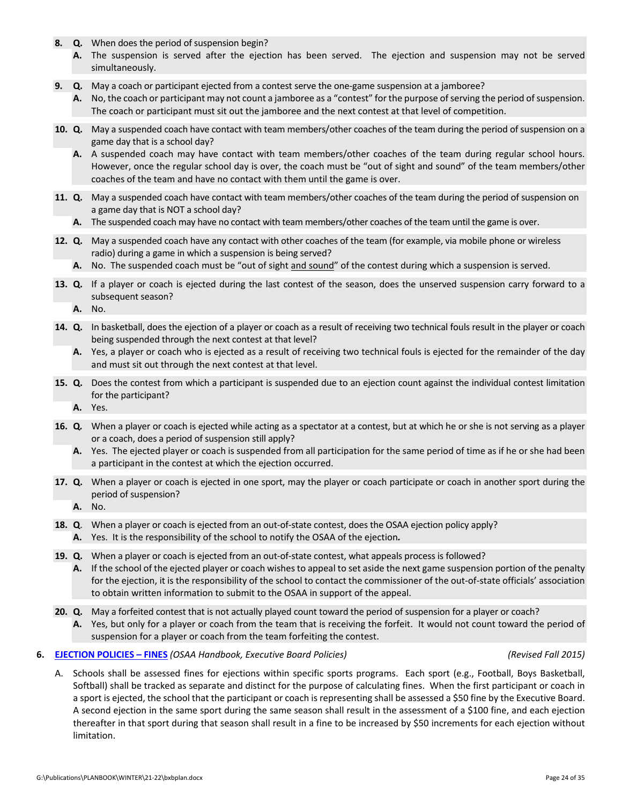- **8. Q.** When does the period of suspension begin?
	- A. The suspension is served after the ejection has been served. The ejection and suspension may not be served simultaneously.
- **9. Q.** May a coach or participant ejected from a contest serve the one‐game suspension at a jamboree?
	- A. No, the coach or participant may not count a jamboree as a "contest" for the purpose of serving the period of suspension. The coach or participant must sit out the jamboree and the next contest at that level of competition.
- **10. Q.** May a suspended coach have contact with team members/other coaches of the team during the period of suspension on a game day that is a school day?
	- **A.** A suspended coach may have contact with team members/other coaches of the team during regular school hours. However, once the regular school day is over, the coach must be "out of sight and sound" of the team members/other coaches of the team and have no contact with them until the game is over.
- **11. Q.** May a suspended coach have contact with team members/other coaches of the team during the period of suspension on a game day that is NOT a school day?
	- **A.** The suspended coach may have no contact with team members/other coaches of the team until the game is over.
- **12. Q.** May a suspended coach have any contact with other coaches of the team (for example, via mobile phone or wireless radio) during a game in which a suspension is being served?
	- A. No. The suspended coach must be "out of sight and sound" of the contest during which a suspension is served.
- **13. Q.** If a player or coach is ejected during the last contest of the season, does the unserved suspension carry forward to a subsequent season?

**A.** No.

- **14. Q.** In basketball, does the ejection of a player or coach as a result of receiving two technical fouls result in the player or coach being suspended through the next contest at that level?
	- **A.** Yes, a player or coach who is ejected as a result of receiving two technical fouls is ejected for the remainder of the day and must sit out through the next contest at that level.
- **15. Q.** Does the contest from which a participant is suspended due to an ejection count against the individual contest limitation for the participant?
	- **A.** Yes.
- **16. Q***.* When a player or coach is ejected while acting as a spectator at a contest, but at which he or she is not serving as a player or a coach, does a period of suspension still apply?
	- **A.** Yes. The ejected player or coach is suspended from all participation for the same period of time as if he or she had been a participant in the contest at which the ejection occurred.
- **17. Q.** When a player or coach is ejected in one sport, may the player or coach participate or coach in another sport during the period of suspension?
	- **A.** No.
- **18. Q.** When a player or coach is ejected from an out-of-state contest, does the OSAA ejection policy apply? **A.** Yes. It is the responsibility of the school to notify the OSAA of the ejection*.*
- **19.** Q. When a player or coach is ejected from an out-of-state contest, what appeals process is followed?
	- **A.** If the school of the ejected player or coach wishes to appeal to set aside the next game suspension portion of the penalty for the ejection, it is the responsibility of the school to contact the commissioner of the out-of-state officials' association to obtain written information to submit to the OSAA in support of the appeal.
- **20. Q.** May a forfeited contest that is not actually played count toward the period of suspension for a player or coach?
	- **A.** Yes, but only for a player or coach from the team that is receiving the forfeit. It would not count toward the period of suspension for a player or coach from the team forfeiting the contest.
- **6. [EJECTION](http://www.osaa.org/governance/handbooks/osaa#_Toc456100350) POLICIES – FINES** *(OSAA Handbook, Executive Board Policies) (Revised Fall 2015)*

A. Schools shall be assessed fines for ejections within specific sports programs. Each sport (e.g., Football, Boys Basketball, Softball) shall be tracked as separate and distinct for the purpose of calculating fines. When the first participant or coach in a sport is ejected, the school that the participant or coach is representing shall be assessed a \$50 fine by the Executive Board. A second ejection in the same sport during the same season shall result in the assessment of a \$100 fine, and each ejection thereafter in that sport during that season shall result in a fine to be increased by \$50 increments for each ejection without limitation.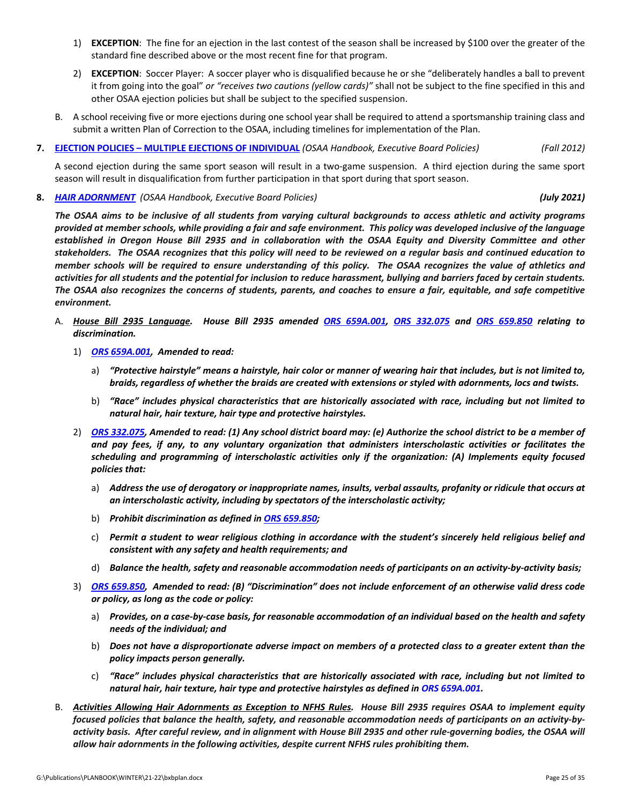- 1) **EXCEPTION**: The fine for an ejection in the last contest of the season shall be increased by \$100 over the greater of the standard fine described above or the most recent fine for that program.
- 2) **EXCEPTION**: Soccer Player: A soccer player who is disqualified because he or she "deliberately handles a ball to prevent it from going into the goal" *or "receives two cautions (yellow cards)"* shall not be subject to the fine specified in this and other OSAA ejection policies but shall be subject to the specified suspension.
- B. A school receiving five or more ejections during one school year shall be required to attend a sportsmanship training class and submit a written Plan of Correction to the OSAA, including timelines for implementation of the Plan.
- **7. EJECTION POLICIES – MULTIPLE EJECTIONS OF [INDIVIDUAL](http://www.osaa.org/governance/handbooks/osaa#_Toc456100351)** *(OSAA Handbook, Executive Board Policies) (Fall 2012)*

A second ejection during the same sport season will result in a two‐game suspension. A third ejection during the same sport season will result in disqualification from further participation in that sport during that sport season.

**8.** *HAIR [ADORNMENT](https://www.osaa.org/governance/handbooks/osaa#_Toc456100372) (OSAA Handbook, Executive Board Policies) (July 2021)*

The OSAA aims to be inclusive of all students from varying cultural backgrounds to access athletic and activity programs provided at member schools, while providing a fair and safe environment. This policy was developed inclusive of the language established in Oregon House Bill 2935 and in collaboration with the OSAA Equity and Diversity Committee and other stakeholders. The OSAA recognizes that this policy will need to be reviewed on a regular basis and continued education to member schools will be required to ensure understanding of this policy. The OSAA recognizes the value of athletics and activities for all students and the potential for inclusion to reduce harassment, bullying and barriers faced by certain students. The OSAA also recognizes the concerns of students, parents, and coaches to ensure a fair, equitable, and safe competitive *environment.*

- A. House Bill 2935 Language. House Bill 2935 amended ORS [659A.001,](https://www.oregonlegislature.gov/bills_laws/Pages/Oregon-Laws.aspx) ORS 332.075 and ORS 659.850 relating to *discrimination.* 
	- 1) *ORS [659A.001,](https://www.oregonlegislature.gov/bills_laws/Pages/Oregon-Laws.aspx) Amended to read:*
		- a) "Protective hairstyle" means a hairstyle, hair color or manner of wearing hair that includes, but is not limited to, braids, regardless of whether the braids are created with extensions or styled with adornments, locs and twists.
		- b) *"Race" includes physical characteristics that are historically associated with race, including but not limited to natural hair, hair texture, hair type and protective hairstyles.*
	- 2) ORS [332.075,](https://www.oregonlegislature.gov/bills_laws/Pages/Oregon-Laws.aspx) Amended to read: (1) Any school district board may: (e) Authorize the school district to be a member of and pay fees, if any, to any voluntary organization that administers interscholastic activities or facilitates the *scheduling and programming of interscholastic activities only if the organization: (A) Implements equity focused policies that:*
		- a) Address the use of derogatory or inappropriate names, insults, verbal assaults, profanity or ridicule that occurs at *an interscholastic activity, including by spectators of the interscholastic activity;*
		- b) *Prohibit discrimination as defined in ORS [659.850;](https://www.oregonlegislature.gov/bills_laws/Pages/Oregon-Laws.aspx)*
		- c) Permit a student to wear religious clothing in accordance with the student's sincerely held religious belief and *consistent with any safety and health requirements; and*
		- d) Balance the health, safety and reasonable accommodation needs of participants on an activity-by-activity basis;
	- 3) ORS [659.850,](https://www.oregonlegislature.gov/bills_laws/Pages/Oregon-Laws.aspx) Amended to read: (B) "Discrimination" does not include enforcement of an otherwise valid dress code *or policy, as long as the code or policy:*
		- a) Provides, on a case-by-case basis, for reasonable accommodation of an individual based on the health and safety *needs of the individual; and*
		- b) Does not have a disproportionate adverse impact on members of a protected class to a greater extent than the *policy impacts person generally.*
		- c) *"Race" includes physical characteristics that are historically associated with race, including but not limited to natural hair, hair texture, hair type and protective hairstyles as defined in ORS [659A.001.](https://www.oregonlegislature.gov/bills_laws/Pages/Oregon-Laws.aspx)*
- B. Activities Allowing Hair Adornments as Exception to NFHS Rules. House Bill 2935 requires OSAA to implement equity focused policies that balance the health, safety, and reasonable accommodation needs of participants on an activity-byactivity basis. After careful review, and in alignment with House Bill 2935 and other rule-governing bodies, the OSAA will *allow hair adornments in the following activities, despite current NFHS rules prohibiting them.*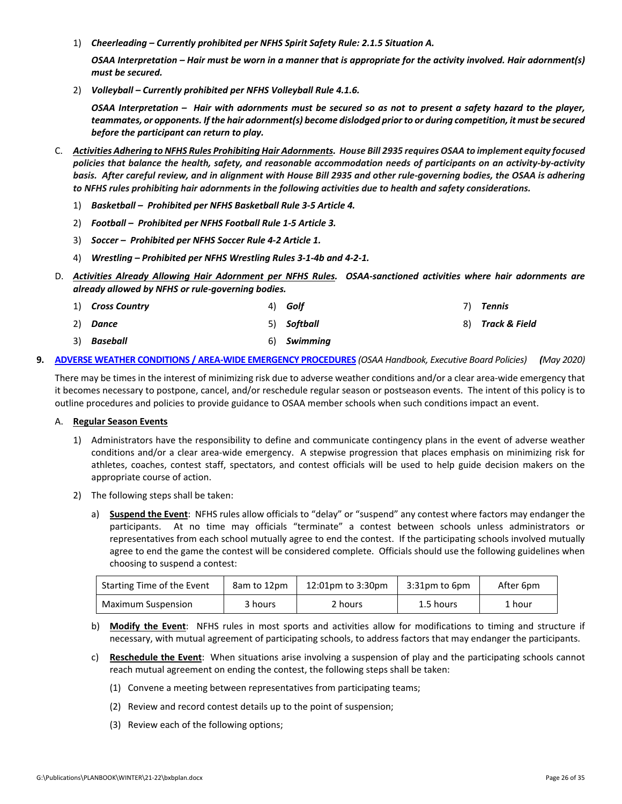1) *Cheerleading – Currently prohibited per NFHS Spirit Safety Rule: 2.1.5 Situation A.*

OSAA Interpretation – Hair must be worn in a manner that is appropriate for the activity involved. Hair adornment(s) *must be secured.*

2) *Volleyball – Currently prohibited per NFHS Volleyball Rule 4.1.6.*

OSAA Interpretation - Hair with adornments must be secured so as not to present a safety hazard to the player, teammates, or opponents. If the hair adornment(s) become dislodged prior to or during competition, it must be secured *before the participant can return to play.*

- C. Activities Adhering to NFHS Rules Prohibiting Hair Adornments. House Bill 2935 requires OSAA to implement equity focused policies that balance the health, safety, and reasonable accommodation needs of participants on an activity-by-activity basis. After careful review, and in alignment with House Bill 2935 and other rule-governing bodies, the OSAA is adhering to NFHS rules prohibiting hair adornments in the following activities due to health and safety considerations.
	- 1) *Basketball – Prohibited per NFHS Basketball Rule 3‐5 Article 4.*
	- 2) *Football – Prohibited per NFHS Football Rule 1‐5 Article 3.*
	- 3) *Soccer – Prohibited per NFHS Soccer Rule 4‐2 Article 1.*
	- 4) *Wrestling – Prohibited per NFHS Wrestling Rules 3‐1‐4b and 4‐2‐1.*
- D. Activities Already Allowing Hair Adornment per NFHS Rules. OSAA-sanctioned activities where hair adornments are *already allowed by NFHS or rule‐governing bodies.*
	- 1) *Cross Country* 2) *Dance* 3) *Baseball* 4) *Golf* 5) *Softball* 6) *Swimming* 7) *Tennis* 8) *Track & Field*
- 9. ADVERSE WEATHER CONDITIONS / AREA-WIDE EMERGENCY [PROCEDURES](http://www.osaa.org/governance/handbooks/osaa#_Toc456100325) (OSAA Handbook, Executive Board Policies) (May 2020)

There may be times in the interest of minimizing risk due to adverse weather conditions and/or a clear area‐wide emergency that it becomes necessary to postpone, cancel, and/or reschedule regular season or postseason events. The intent of this policy is to outline procedures and policies to provide guidance to OSAA member schools when such conditions impact an event.

#### A. **Regular Season Events**

- 1) Administrators have the responsibility to define and communicate contingency plans in the event of adverse weather conditions and/or a clear area-wide emergency. A stepwise progression that places emphasis on minimizing risk for athletes, coaches, contest staff, spectators, and contest officials will be used to help guide decision makers on the appropriate course of action.
- 2) The following steps shall be taken:
	- a) **Suspend the Event**:NFHS rules allow officials to "delay" or "suspend" any contest where factors may endanger the participants. At no time may officials "terminate" a contest between schools unless administrators or representatives from each school mutually agree to end the contest. If the participating schools involved mutually agree to end the game the contest will be considered complete. Officials should use the following guidelines when choosing to suspend a contest:

| Starting Time of the Event | 8am to 12pm | 12:01pm to 3:30pm | $3:31$ pm to $6$ pm | After 6pm |
|----------------------------|-------------|-------------------|---------------------|-----------|
| Maximum Suspension         | 3 hours     | 2 hours           | 1.5 hours           | 1 hour    |

- b) **Modify the Event**: NFHS rules in most sports and activities allow for modifications to timing and structure if necessary, with mutual agreement of participating schools, to address factors that may endanger the participants.
- c) **Reschedule the Event**:When situations arise involving a suspension of play and the participating schools cannot reach mutual agreement on ending the contest, the following steps shall be taken:
	- (1) Convene a meeting between representatives from participating teams;
	- (2) Review and record contest details up to the point of suspension;
	- (3) Review each of the following options;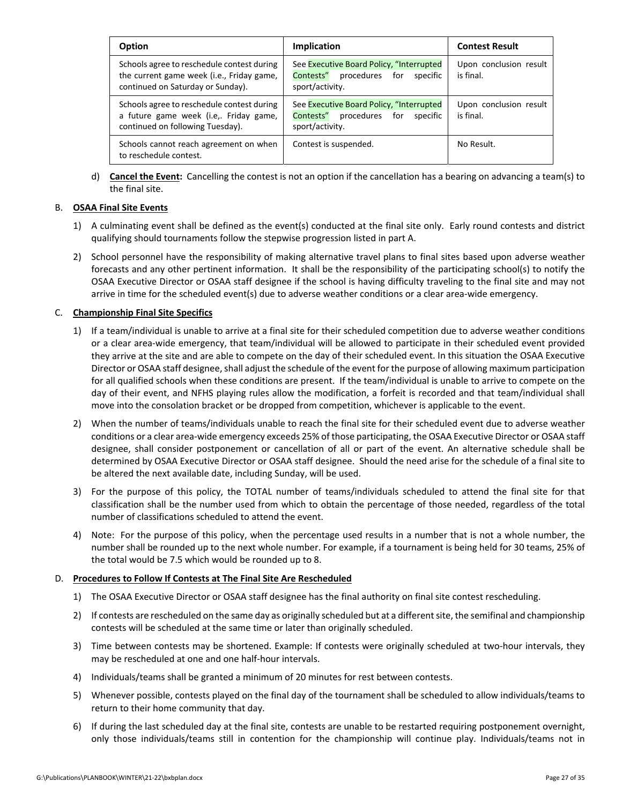| <b>Option</b>                                                                                                                | Implication                                                                                            | <b>Contest Result</b>               |
|------------------------------------------------------------------------------------------------------------------------------|--------------------------------------------------------------------------------------------------------|-------------------------------------|
| Schools agree to reschedule contest during<br>the current game week (i.e., Friday game,<br>continued on Saturday or Sunday). | See Executive Board Policy, "Interrupted<br>Contests" procedures for<br>specific<br>sport/activity.    | Upon conclusion result<br>is final. |
| Schools agree to reschedule contest during<br>a future game week (i.e,. Friday game,<br>continued on following Tuesday).     | See Executive Board Policy, "Interrupted<br>Contests" procedures<br>for<br>specific<br>sport/activity. | Upon conclusion result<br>is final. |
| Schools cannot reach agreement on when<br>to reschedule contest.                                                             | Contest is suspended.                                                                                  | No Result.                          |

d) **Cancel the Event:**Cancelling the contest is not an option if the cancellation has a bearing on advancing a team(s) to the final site.

#### B. **OSAA Final Site Events**

- 1) A culminating event shall be defined as the event(s) conducted at the final site only. Early round contests and district qualifying should tournaments follow the stepwise progression listed in part A.
- 2) School personnel have the responsibility of making alternative travel plans to final sites based upon adverse weather forecasts and any other pertinent information. It shall be the responsibility of the participating school(s) to notify the OSAA Executive Director or OSAA staff designee if the school is having difficulty traveling to the final site and may not arrive in time for the scheduled event(s) due to adverse weather conditions or a clear area-wide emergency.

#### C. **Championship Final Site Specifics**

- 1) If a team/individual is unable to arrive at a final site for their scheduled competition due to adverse weather conditions or a clear area‐wide emergency, that team/individual will be allowed to participate in their scheduled event provided they arrive at the site and are able to compete on the day of their scheduled event. In this situation the OSAA Executive Director or OSAA staff designee, shall adjust the schedule of the event for the purpose of allowing maximum participation for all qualified schools when these conditions are present. If the team/individual is unable to arrive to compete on the day of their event, and NFHS playing rules allow the modification, a forfeit is recorded and that team/individual shall move into the consolation bracket or be dropped from competition, whichever is applicable to the event.
- 2) When the number of teams/individuals unable to reach the final site for their scheduled event due to adverse weather conditions or a clear area‐wide emergency exceeds 25% of those participating, the OSAA Executive Director or OSAA staff designee, shall consider postponement or cancellation of all or part of the event. An alternative schedule shall be determined by OSAA Executive Director or OSAA staff designee. Should the need arise for the schedule of a final site to be altered the next available date, including Sunday, will be used.
- 3) For the purpose of this policy, the TOTAL number of teams/individuals scheduled to attend the final site for that classification shall be the number used from which to obtain the percentage of those needed, regardless of the total number of classifications scheduled to attend the event.
- 4) Note: For the purpose of this policy, when the percentage used results in a number that is not a whole number, the number shall be rounded up to the next whole number. For example, if a tournament is being held for 30 teams, 25% of the total would be 7.5 which would be rounded up to 8.

#### D. **Procedures to Follow If Contests at The Final Site Are Rescheduled**

- 1) The OSAA Executive Director or OSAA staff designee has the final authority on final site contest rescheduling.
- 2) If contests are rescheduled on the same day as originally scheduled but at a differentsite, the semifinal and championship contests will be scheduled at the same time or later than originally scheduled.
- 3) Time between contests may be shortened. Example: If contests were originally scheduled at two-hour intervals, they may be rescheduled at one and one half‐hour intervals.
- 4) Individuals/teams shall be granted a minimum of 20 minutes for rest between contests.
- 5) Whenever possible, contests played on the final day of the tournament shall be scheduled to allow individuals/teams to return to their home community that day.
- 6) If during the last scheduled day at the final site, contests are unable to be restarted requiring postponement overnight, only those individuals/teams still in contention for the championship will continue play. Individuals/teams not in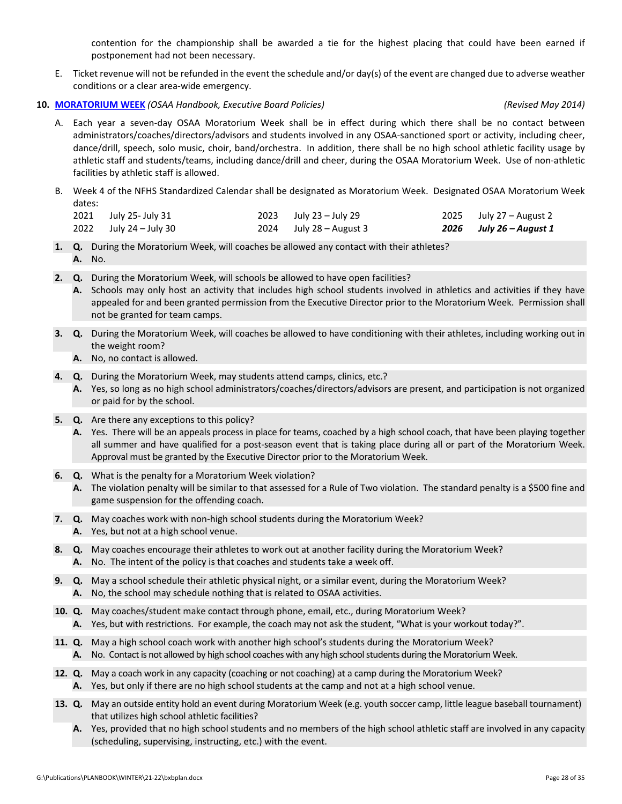contention for the championship shall be awarded a tie for the highest placing that could have been earned if postponement had not been necessary.

E. Ticket revenue will not be refunded in the event the schedule and/or day(s) of the event are changed due to adverse weather conditions or a clear area‐wide emergency.

#### **10. [MORATORIUM](http://www.osaa.org/governance/handbooks/osaa#_Toc456100399) WEEK** *(OSAA Handbook, Executive Board Policies) (Revised May 2014)*

- A. Each year a seven‐day OSAA Moratorium Week shall be in effect during which there shall be no contact between administrators/coaches/directors/advisors and students involved in any OSAA‐sanctioned sport or activity, including cheer, dance/drill, speech, solo music, choir, band/orchestra. In addition, there shall be no high school athletic facility usage by athletic staff and students/teams, including dance/drill and cheer, during the OSAA Moratorium Week. Use of non‐athletic facilities by athletic staff is allowed.
- B. Week 4 of the NFHS Standardized Calendar shall be designated as Moratorium Week.Designated OSAA Moratorium Week dates:

| 2021 July 25- July 31  | $2023$ July 23 – July 29  | 2025 July $27 -$ August 2 |
|------------------------|---------------------------|---------------------------|
| 2022 July 24 – July 30 | $2024$ July 28 – August 3 | 2026 July 26 – August 1   |

- **1. Q.** During the Moratorium Week, will coaches be allowed any contact with their athletes? **A.** No.
- **2. Q.** During the Moratorium Week, will schools be allowed to have open facilities?
	- **A.** Schools may only host an activity that includes high school students involved in athletics and activities if they have appealed for and been granted permission from the Executive Director prior to the Moratorium Week. Permission shall not be granted for team camps.
- **3. Q.** During the Moratorium Week, will coaches be allowed to have conditioning with their athletes, including working out in the weight room?
	- **A.** No, no contact is allowed.
- **4. Q.** During the Moratorium Week, may students attend camps, clinics, etc.?
	- **A.** Yes, so long as no high school administrators/coaches/directors/advisors are present, and participation is not organized or paid for by the school.
- **5. Q.** Are there any exceptions to this policy?
	- **A.** Yes. There will be an appeals process in place for teams, coached by a high school coach, that have been playing together all summer and have qualified for a post‐season event that is taking place during all or part of the Moratorium Week. Approval must be granted by the Executive Director prior to the Moratorium Week.
- **6. Q.** What is the penalty for a Moratorium Week violation?
	- **A.** The violation penalty will be similar to that assessed for a Rule of Two violation. The standard penalty is a \$500 fine and game suspension for the offending coach.
- **7. Q.** May coaches work with non‐high school students during the Moratorium Week? **A.** Yes, but not at a high school venue.
- **8. Q.** May coaches encourage their athletes to work out at another facility during the Moratorium Week? **A.** No. The intent of the policy is that coaches and students take a week off.

**9. Q.** May a school schedule their athletic physical night, or a similar event, during the Moratorium Week? **A.** No, the school may schedule nothing that is related to OSAA activities.

- **10. Q.** May coaches/student make contact through phone, email, etc., during Moratorium Week? **A.** Yes, but with restrictions. For example, the coach may not ask the student, "What is your workout today?".
- **11. Q.** May a high school coach work with another high school's students during the Moratorium Week? **A.** No. Contact is not allowed by high school coaches with any high school students during the Moratorium Week.
- **12. Q.** May a coach work in any capacity (coaching or not coaching) at a camp during the Moratorium Week? **A.** Yes, but only if there are no high school students at the camp and not at a high school venue.
- **13. Q.** May an outside entity hold an event during Moratorium Week (e.g. youth soccer camp, little league baseball tournament) that utilizes high school athletic facilities?
	- **A.** Yes, provided that no high school students and no members of the high school athletic staff are involved in any capacity (scheduling, supervising, instructing, etc.) with the event.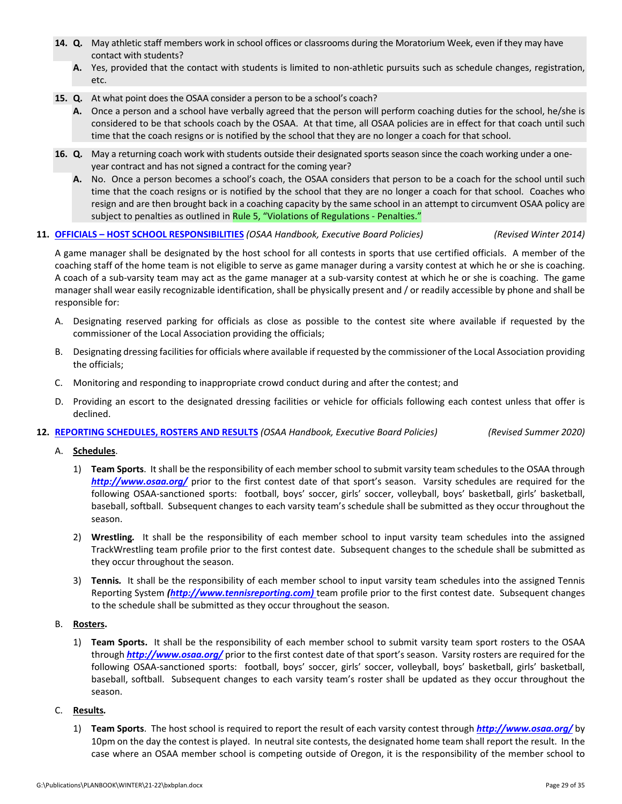- **14. Q.** May athletic staff members work in school offices or classrooms during the Moratorium Week, even if they may have contact with students?
	- A. Yes, provided that the contact with students is limited to non-athletic pursuits such as schedule changes, registration, etc.
- **15. Q.** At what point does the OSAA consider a person to be a school's coach?
	- **A.** Once a person and a school have verbally agreed that the person will perform coaching duties for the school, he/she is considered to be that schools coach by the OSAA. At that time, all OSAA policies are in effect for that coach until such time that the coach resigns or is notified by the school that they are no longer a coach for that school.
- **16. Q.** May a returning coach work with students outside their designated sports season since the coach working under a one‐ year contract and has not signed a contract for the coming year?
	- **A.** No. Once a person becomes a school's coach, the OSAA considers that person to be a coach for the school until such time that the coach resigns or is notified by the school that they are no longer a coach for that school. Coaches who resign and are then brought back in a coaching capacity by the same school in an attempt to circumvent OSAA policy are subject to penalties as outlined in Rule 5, "Violations of [Regulations](http://www.osaa.org/governance/handbooks/osaa#_Toc456100268) - Penalties."

#### **11. OFFICIALS – HOST SCHOOL [RESPONSIBILITIES](http://www.osaa.org/governance/handbooks/osaa#_Toc456100410)** *(OSAA Handbook, Executive Board Policies) (Revised Winter 2014)*

A game manager shall be designated by the host school for all contests in sports that use certified officials. A member of the coaching staff of the home team is not eligible to serve as game manager during a varsity contest at which he or she is coaching. A coach of a sub‐varsity team may act as the game manager at a sub‐varsity contest at which he or she is coaching. The game manager shall wear easily recognizable identification, shall be physically present and / or readily accessible by phone and shall be responsible for:

- A. Designating reserved parking for officials as close as possible to the contest site where available if requested by the commissioner of the Local Association providing the officials;
- B. Designating dressing facilitiesfor officials where available if requested by the commissioner of the Local Association providing the officials;
- C. Monitoring and responding to inappropriate crowd conduct during and after the contest; and
- D. Providing an escort to the designated dressing facilities or vehicle for officials following each contest unless that offer is declined.

#### **12. REPORTING [SCHEDULES,](http://www.osaa.org/governance/handbooks/osaa#_Toc456100424) ROSTERS AND RESULTS** *(OSAA Handbook, Executive Board Policies) (Revised Summer 2020)*

- A. **Schedules**.
	- 1) **Team Sports**. It shall be the responsibility of each memberschool to submit varsity team schedules to the OSAA through *<http://www.osaa.org/>* prior to the first contest date of that sport's season. Varsity schedules are required for the following OSAA‐sanctioned sports: football, boys' soccer, girls' soccer, volleyball, boys' basketball, girls' basketball, baseball, softball. Subsequent changes to each varsity team's schedule shall be submitted as they occur throughout the season.
	- 2) **Wrestling***.*  It shall be the responsibility of each member school to input varsity team schedules into the assigned TrackWrestling team profile prior to the first contest date. Subsequent changes to the schedule shall be submitted as they occur throughout the season.
	- 3) **Tennis***.* It shall be the responsibility of each member school to input varsity team schedules into the assigned Tennis Reporting System *[\(http://www.tennisreporting.com\)](http://www.tennisreporting.com)* team profile prior to the first contest date. Subsequent changes to the schedule shall be submitted as they occur throughout the season.

#### B. **Rosters.**

1) **Team Sports.** It shall be the responsibility of each member school to submit varsity team sport rosters to the OSAA through *<http://www.osaa.org/>* prior to the first contest date of that sport's season. Varsity rosters are required for the following OSAA‐sanctioned sports: football, boys' soccer, girls' soccer, volleyball, boys' basketball, girls' basketball, baseball, softball. Subsequent changes to each varsity team's roster shall be updated as they occur throughout the season.

#### C. **Results***.*

1) **Team Sports**. The host school is required to report the result of each varsity contest through *<http://www.osaa.org/>* by 10pm on the day the contest is played. In neutral site contests, the designated home team shall report the result. In the case where an OSAA member school is competing outside of Oregon, it is the responsibility of the member school to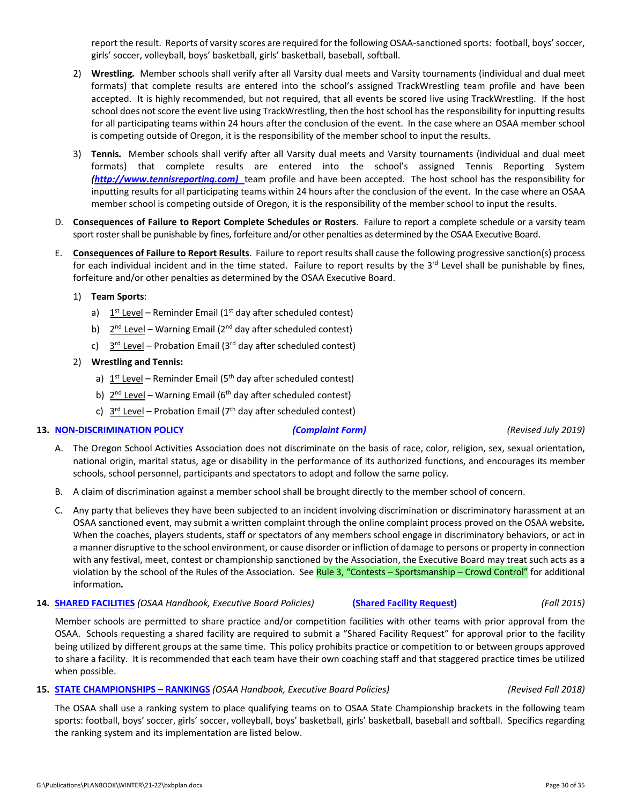report the result. Reports of varsity scores are required for the following OSAA‐sanctioned sports: football, boys'soccer, girls' soccer, volleyball, boys' basketball, girls' basketball, baseball, softball.

- 2) **Wrestling***.* Member schools shall verify after all Varsity dual meets and Varsity tournaments (individual and dual meet formats) that complete results are entered into the school's assigned TrackWrestling team profile and have been accepted. It is highly recommended, but not required, that all events be scored live using TrackWrestling. If the host school does not score the event live using TrackWrestling, then the host school has the responsibility for inputting results for all participating teams within 24 hours after the conclusion of the event. In the case where an OSAA member school is competing outside of Oregon, it is the responsibility of the member school to input the results.
- 3) **Tennis***.* Member schools shall verify after all Varsity dual meets and Varsity tournaments (individual and dual meet formats) that complete results are entered into the school's assigned Tennis Reporting System *[\(http://www.tennisreporting.com\)](http://www.tennisreporting.com)* team profile and have been accepted. The host school has the responsibility for inputting results for all participating teams within 24 hours after the conclusion of the event. In the case where an OSAA member school is competing outside of Oregon, it is the responsibility of the member school to input the results.
- D. **Consequences of Failure to Report Complete Schedules or Rosters**. Failure to report a complete schedule or a varsity team sport roster shall be punishable by fines, forfeiture and/or other penalties as determined by the OSAA Executive Board.
- E. **Consequences of Failure to Report Results**. Failure to report results shall cause the following progressive sanction(s) process for each individual incident and in the time stated. Failure to report results by the  $3<sup>rd</sup>$  Level shall be punishable by fines, forfeiture and/or other penalties as determined by the OSAA Executive Board.

#### 1) **Team Sports**:

- a)  $1<sup>st</sup> Level Reminder Email (1<sup>st</sup> day after scheduled contest)$
- b)  $2^{nd}$  Level Warning Email ( $2^{nd}$  day after scheduled contest)
- c)  $3^{rd}$  Level Probation Email (3<sup>rd</sup> day after scheduled contest)

#### 2) **Wrestling and Tennis:**

- a)  $1<sup>st</sup>$  Level Reminder Email (5<sup>th</sup> day after scheduled contest)
- b)  $2^{nd}$  Level Warning Email (6<sup>th</sup> day after scheduled contest)
- c)  $3^{rd}$  Level Probation Email (7<sup>th</sup> day after scheduled contest)

#### **13. NON‐[DISCRIMINATION](http://www.osaa.org/governance/handbooks/osaa#_Toc456100407) POLICY** *[\(Complaint](http://www.osaa.org/governance/forms) Form) (Revised July 2019)*

- A. The Oregon School Activities Association does not discriminate on the basis of race, color, religion, sex, sexual orientation, national origin, marital status, age or disability in the performance of its authorized functions, and encourages its member schools, school personnel, participants and spectators to adopt and follow the same policy.
- B. A claim of discrimination against a member school shall be brought directly to the member school of concern.
- C. Any party that believes they have been subjected to an incident involving discrimination or discriminatory harassment at an OSAA sanctioned event, may submit a written complaint through the online complaint process proved on the OSAA website*.* When the coaches, players students, staff or spectators of any members school engage in discriminatory behaviors, or act in a manner disruptive to the school environment, or cause disorder or infliction of damage to persons or property in connection with any festival, meet, contest or championship sanctioned by the Association, the Executive Board may treat such acts as a violation by the school of the Rules of the Association. See Rule 3, "Contests – [Sportsmanship](http://www.osaa.org/governance/handbooks/osaa#_Toc456100266) – Crowd Control" for additional information*.*
- **14. SHARED [FACILITIES](http://www.osaa.org/governance/handbooks/osaa#_Toc456100428)** *(OSAA Handbook, Executive Board Policies)* **(Shared Facility [Request\)](http://www.osaa.org/governance/forms)** *(Fall 2015)*

Member schools are permitted to share practice and/or competition facilities with other teams with prior approval from the OSAA. Schools requesting a shared facility are required to submit a "Shared Facility Request" for approval prior to the facility being utilized by different groups at the same time. This policy prohibits practice or competition to or between groups approved to share a facility. It is recommended that each team have their own coaching staff and that staggered practice times be utilized when possible.

#### **15. STATE [CHAMPIONSHIPS](http://www.osaa.org/governance/handbooks/osaa#_Toc456100456) – RANKINGS** *(OSAA Handbook, Executive Board Policies) (Revised Fall 2018)*

The OSAA shall use a ranking system to place qualifying teams on to OSAA State Championship brackets in the following team sports: football, boys' soccer, girls' soccer, volleyball, boys' basketball, girls' basketball, baseball and softball. Specifics regarding the ranking system and its implementation are listed below.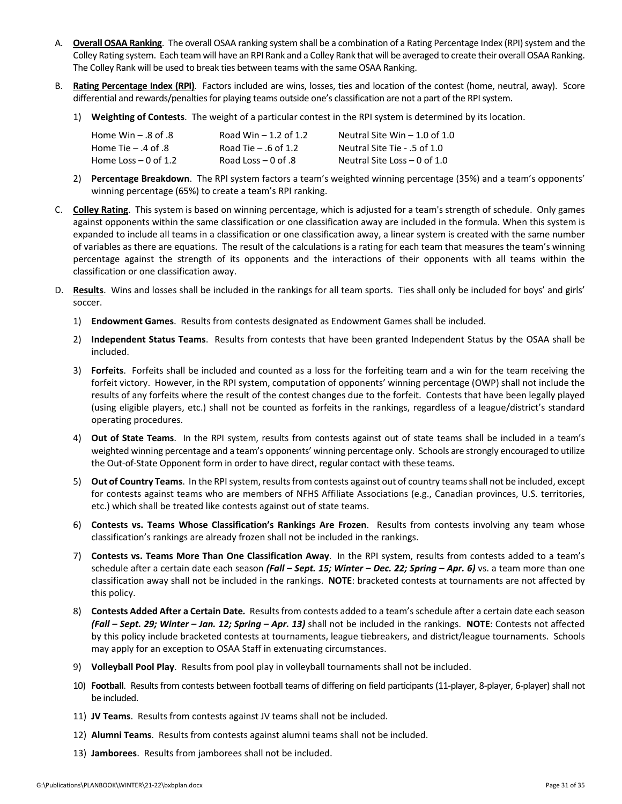- A. **Overall OSAA Ranking**. The overall OSAA ranking system shall be a combination of a Rating Percentage Index (RPI) system and the Colley Rating system. Each team will have an RPI Rank and a Colley Rank that will be averaged to create their overallOSAA Ranking. The Colley Rank will be used to break ties between teams with the same OSAA Ranking.
- B. **Rating Percentage Index (RPI)**. Factors included are wins, losses, ties and location of the contest (home, neutral, away). Score differential and rewards/penalties for playing teams outside one's classification are not a part of the RPI system.
	- 1) **Weighting of Contests**. The weight of a particular contest in the RPI system is determined by its location.

| Home Win $-$ .8 of .8 | Road Win $-1.2$ of 1.2 | Neutral Site Win $-$ 1.0 of 1.0 |
|-----------------------|------------------------|---------------------------------|
| Home Tie $-$ .4 of .8 | Road Tie $-$ .6 of 1.2 | Neutral Site Tie - .5 of 1.0    |
| Home Loss $-0$ of 1.2 | Road Loss $-0$ of .8   | Neutral Site Loss $-$ 0 of 1.0  |

- 2) **Percentage Breakdown**. The RPI system factors a team's weighted winning percentage (35%) and a team's opponents' winning percentage (65%) to create a team's RPI ranking.
- C. **Colley Rating**. This system is based on winning percentage, which is adjusted for a team's strength of schedule. Only games against opponents within the same classification or one classification away are included in the formula. When this system is expanded to include all teams in a classification or one classification away, a linear system is created with the same number of variables as there are equations. The result of the calculations is a rating for each team that measures the team's winning percentage against the strength of its opponents and the interactions of their opponents with all teams within the classification or one classification away.
- D. **Results**. Wins and losses shall be included in the rankings for all team sports. Ties shall only be included for boys' and girls' soccer.
	- 1) **Endowment Games**. Results from contests designated as Endowment Games shall be included.
	- 2) **Independent Status Teams**. Results from contests that have been granted Independent Status by the OSAA shall be included.
	- 3) **Forfeits**. Forfeits shall be included and counted as a loss for the forfeiting team and a win for the team receiving the forfeit victory. However, in the RPI system, computation of opponents' winning percentage (OWP) shall not include the results of any forfeits where the result of the contest changes due to the forfeit. Contests that have been legally played (using eligible players, etc.) shall not be counted as forfeits in the rankings, regardless of a league/district's standard operating procedures.
	- 4) **Out of State Teams**. In the RPI system, results from contests against out of state teams shall be included in a team's weighted winning percentage and a team's opponents' winning percentage only. Schools are strongly encouraged to utilize the Out‐of‐State Opponent form in order to have direct, regular contact with these teams.
	- 5) **Out of Country Teams**. In the RPIsystem, resultsfrom contests against out of country teamsshall not be included, except for contests against teams who are members of NFHS Affiliate Associations (e.g., Canadian provinces, U.S. territories, etc.) which shall be treated like contests against out of state teams.
	- 6) **Contests vs. Teams Whose Classification's Rankings Are Frozen**. Results from contests involving any team whose classification's rankings are already frozen shall not be included in the rankings.
	- 7) **Contests vs. Teams More Than One Classification Away**. In the RPI system, results from contests added to a team's schedule after a certain date each season *(Fall – Sept. 15; Winter – Dec. 22; Spring – Apr. 6)* vs. a team more than one classification away shall not be included in the rankings. **NOTE**: bracketed contests at tournaments are not affected by this policy.
	- 8) **Contests Added After a Certain Date***.* Results from contests added to a team'sschedule after a certain date each season *(Fall – Sept. 29; Winter – Jan. 12; Spring – Apr. 13)* shall not be included in the rankings. **NOTE**: Contests not affected by this policy include bracketed contests at tournaments, league tiebreakers, and district/league tournaments. Schools may apply for an exception to OSAA Staff in extenuating circumstances.
	- 9) **Volleyball Pool Play**. Results from pool play in volleyball tournaments shall not be included.
	- 10) **Football**. Results from contests between football teams of differing on field participants (11‐player, 8‐player, 6‐player) shall not be included.
	- 11) **JV Teams**. Results from contests against JV teams shall not be included.
	- 12) **Alumni Teams**. Results from contests against alumni teams shall not be included.
	- 13) **Jamborees**. Results from jamborees shall not be included.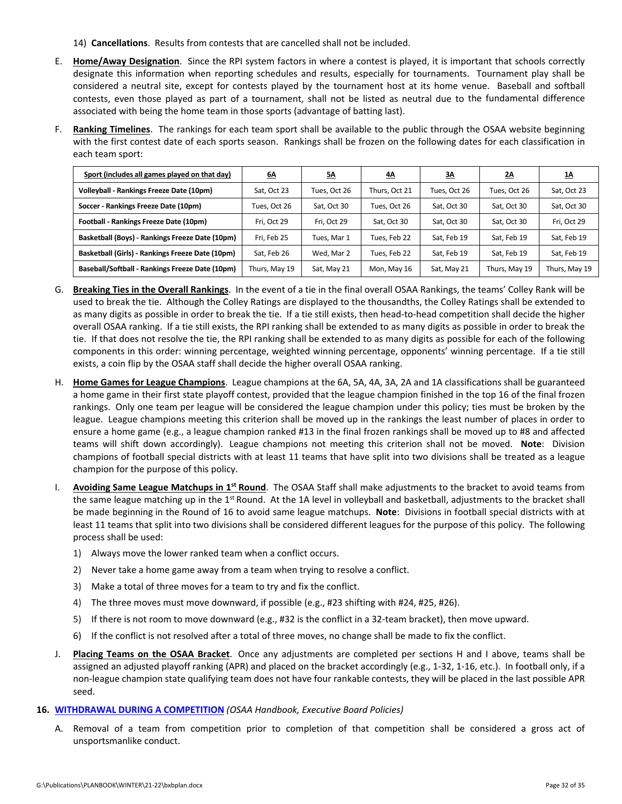- 14) **Cancellations**. Results from contests that are cancelled shall not be included.
- E. **Home/Away Designation**. Since the RPI system factors in where a contest is played, it is important that schools correctly designate this information when reporting schedules and results, especially for tournaments. Tournament play shall be considered a neutral site, except for contests played by the tournament host at its home venue. Baseball and softball contests, even those played as part of a tournament, shall not be listed as neutral due to the fundamental difference associated with being the home team in those sports (advantage of batting last).
- F. **Ranking Timelines**. The rankings for each team sport shall be available to the public through the OSAA website beginning with the first contest date of each sports season. Rankings shall be frozen on the following dates for each classification in each team sport:

| Sport (includes all games played on that day)    | <u>6Δ</u>     | <u>5Δ</u>    | <u>4A</u>     | <u>3A</u>    | <u>2A</u>     | <u>1A</u>     |
|--------------------------------------------------|---------------|--------------|---------------|--------------|---------------|---------------|
| Volleyball - Rankings Freeze Date (10pm)         | Sat, Oct 23   | Tues, Oct 26 | Thurs, Oct 21 | Tues, Oct 26 | Tues, Oct 26  | Sat, Oct 23   |
| Soccer - Rankings Freeze Date (10pm)             | Tues, Oct 26  | Sat, Oct 30  | Tues, Oct 26  | Sat, Oct 30  | Sat, Oct 30   | Sat, Oct 30   |
| Football - Rankings Freeze Date (10pm)           | Fri, Oct 29   | Fri, Oct 29  | Sat, Oct 30   | Sat. Oct 30  | Sat, Oct 30   | Fri, Oct 29   |
| Basketball (Boys) - Rankings Freeze Date (10pm)  | Fri. Feb 25   | Tues, Mar 1  | Tues. Feb 22  | Sat, Feb 19  | Sat. Feb 19   | Sat, Feb 19   |
| Basketball (Girls) - Rankings Freeze Date (10pm) | Sat, Feb 26   | Wed. Mar 2   | Tues, Feb 22  | Sat, Feb 19  | Sat, Feb 19   | Sat, Feb 19   |
| Baseball/Softball - Rankings Freeze Date (10pm)  | Thurs, May 19 | Sat, May 21  | Mon, May 16   | Sat, May 21  | Thurs, May 19 | Thurs, May 19 |

- G. **Breaking Ties in the Overall Rankings**. In the event of a tie in the final overall OSAA Rankings, the teams' Colley Rank will be used to break the tie. Although the Colley Ratings are displayed to the thousandths, the Colley Ratings shall be extended to as many digits as possible in order to break the tie. If a tie still exists, then head-to-head competition shall decide the higher overall OSAA ranking. If a tie still exists, the RPI ranking shall be extended to as many digits as possible in order to break the tie. If that does not resolve the tie, the RPI ranking shall be extended to as many digits as possible for each of the following components in this order: winning percentage, weighted winning percentage, opponents' winning percentage. If a tie still exists, a coin flip by the OSAA staff shall decide the higher overall OSAA ranking.
- H. **Home Games for League Champions**. League champions at the 6A, 5A, 4A, 3A, 2A and 1A classifications shall be guaranteed a home game in their first state playoff contest, provided that the league champion finished in the top 16 of the final frozen rankings. Only one team per league will be considered the league champion under this policy; ties must be broken by the league. League champions meeting this criterion shall be moved up in the rankings the least number of places in order to ensure a home game (e.g., a league champion ranked #13 in the final frozen rankings shall be moved up to #8 and affected teams will shift down accordingly). League champions not meeting this criterion shall not be moved. **Note**: Division champions of football special districts with at least 11 teams that have split into two divisions shall be treated as a league champion for the purpose of this policy.
- I. **Avoiding Same League Matchups in 1st Round**. The OSAA Staff shall make adjustments to the bracket to avoid teams from the same league matching up in the 1<sup>st</sup> Round. At the 1A level in volleyball and basketball, adjustments to the bracket shall be made beginning in the Round of 16 to avoid same league matchups. **Note**: Divisions in football special districts with at least 11 teams that split into two divisions shall be considered different leagues for the purpose of this policy. The following process shall be used:
	- 1) Always move the lower ranked team when a conflict occurs.
	- 2) Never take a home game away from a team when trying to resolve a conflict.
	- 3) Make a total of three moves for a team to try and fix the conflict.
	- 4) The three moves must move downward, if possible (e.g., #23 shifting with #24, #25, #26).
	- 5) If there is not room to move downward (e.g., #32 is the conflict in a 32-team bracket), then move upward.
	- 6) If the conflict is not resolved after a total of three moves, no change shall be made to fix the conflict.
- J. **Placing Teams on the OSAA Bracket**. Once any adjustments are completed per sections H and I above, teams shall be assigned an adjusted playoff ranking (APR) and placed on the bracket accordingly (e.g., 1‐32, 1‐16, etc.). In football only, if a non‐league champion state qualifying team does not have four rankable contests, they will be placed in the last possible APR seed.
- **16. [WITHDRAWAL](http://www.osaa.org/governance/handbooks/osaa#_Toc456100494) DURING A COMPETITION** *(OSAA Handbook, Executive Board Policies)*
	- A. Removal of a team from competition prior to completion of that competition shall be considered a gross act of unsportsmanlike conduct.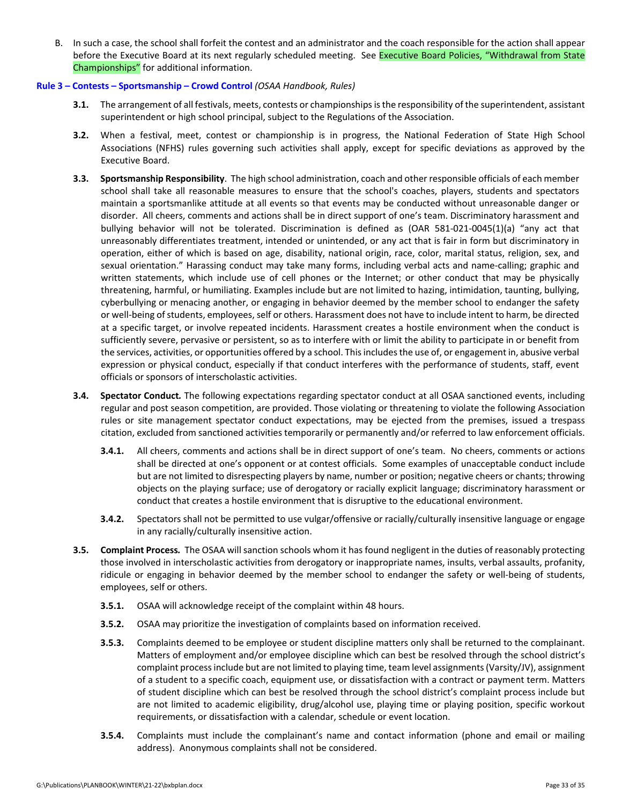B. In such a case, the school shall forfeit the contest and an administrator and the coach responsible for the action shall appear before the Executive Board at its next regularly scheduled meeting. See Executive Board Policies, "Withdrawal from State [Championships"](http://www.osaa.org/governance/handbooks/osaa#_Toc456100495) for additional information.

#### **Rule 3 – Contests – [Sportsmanship](http://www.osaa.org/governance/handbooks/osaa#_Toc456100266) – Crowd Control** *(OSAA Handbook, Rules)*

- **3.1.** The arrangement of all festivals, meets, contests or championships is the responsibility of the superintendent, assistant superintendent or high school principal, subject to the Regulations of the Association.
- **3.2.** When a festival, meet, contest or championship is in progress, the National Federation of State High School Associations (NFHS) rules governing such activities shall apply, except for specific deviations as approved by the Executive Board.
- **3.3. Sportsmanship Responsibility**. The high school administration, coach and other responsible officials of each member school shall take all reasonable measures to ensure that the school's coaches, players, students and spectators maintain a sportsmanlike attitude at all events so that events may be conducted without unreasonable danger or disorder. All cheers, comments and actions shall be in direct support of one's team. Discriminatory harassment and bullying behavior will not be tolerated. Discrimination is defined as (OAR 581‐021‐0045(1)(a) "any act that unreasonably differentiates treatment, intended or unintended, or any act that is fair in form but discriminatory in operation, either of which is based on age, disability, national origin, race, color, marital status, religion, sex, and sexual orientation." Harassing conduct may take many forms, including verbal acts and name‐calling; graphic and written statements, which include use of cell phones or the Internet; or other conduct that may be physically threatening, harmful, or humiliating. Examples include but are not limited to hazing, intimidation, taunting, bullying, cyberbullying or menacing another, or engaging in behavior deemed by the member school to endanger the safety or well-being of students, employees, self or others. Harassment does not have to include intent to harm, be directed at a specific target, or involve repeated incidents. Harassment creates a hostile environment when the conduct is sufficiently severe, pervasive or persistent, so as to interfere with or limit the ability to participate in or benefit from the services, activities, or opportunities offered by a school. Thisincludesthe use of, or engagement in, abusive verbal expression or physical conduct, especially if that conduct interferes with the performance of students, staff, event officials or sponsors of interscholastic activities.
- **3.4. Spectator Conduct***.* The following expectations regarding spectator conduct at all OSAA sanctioned events, including regular and post season competition, are provided. Those violating or threatening to violate the following Association rules or site management spectator conduct expectations, may be ejected from the premises, issued a trespass citation, excluded from sanctioned activities temporarily or permanently and/or referred to law enforcement officials.
	- **3.4.1.** All cheers, comments and actions shall be in direct support of one's team. No cheers, comments or actions shall be directed at one's opponent or at contest officials. Some examples of unacceptable conduct include but are not limited to disrespecting players by name, number or position; negative cheers or chants; throwing objects on the playing surface; use of derogatory or racially explicit language; discriminatory harassment or conduct that creates a hostile environment that is disruptive to the educational environment.
	- **3.4.2.** Spectators shall not be permitted to use vulgar/offensive or racially/culturally insensitive language or engage in any racially/culturally insensitive action.
- **3.5. Complaint Process***.* The OSAA will sanction schools whom it has found negligent in the duties of reasonably protecting those involved in interscholastic activities from derogatory or inappropriate names, insults, verbal assaults, profanity, ridicule or engaging in behavior deemed by the member school to endanger the safety or well‐being of students, employees, self or others.
	- **3.5.1.** OSAA will acknowledge receipt of the complaint within 48 hours.
	- **3.5.2.** OSAA may prioritize the investigation of complaints based on information received.
	- **3.5.3.** Complaints deemed to be employee or student discipline matters only shall be returned to the complainant. Matters of employment and/or employee discipline which can best be resolved through the school district's complaint process include but are not limited to playing time, team level assignments (Varsity/JV), assignment of a student to a specific coach, equipment use, or dissatisfaction with a contract or payment term. Matters of student discipline which can best be resolved through the school district's complaint process include but are not limited to academic eligibility, drug/alcohol use, playing time or playing position, specific workout requirements, or dissatisfaction with a calendar, schedule or event location.
	- **3.5.4.** Complaints must include the complainant's name and contact information (phone and email or mailing address). Anonymous complaints shall not be considered.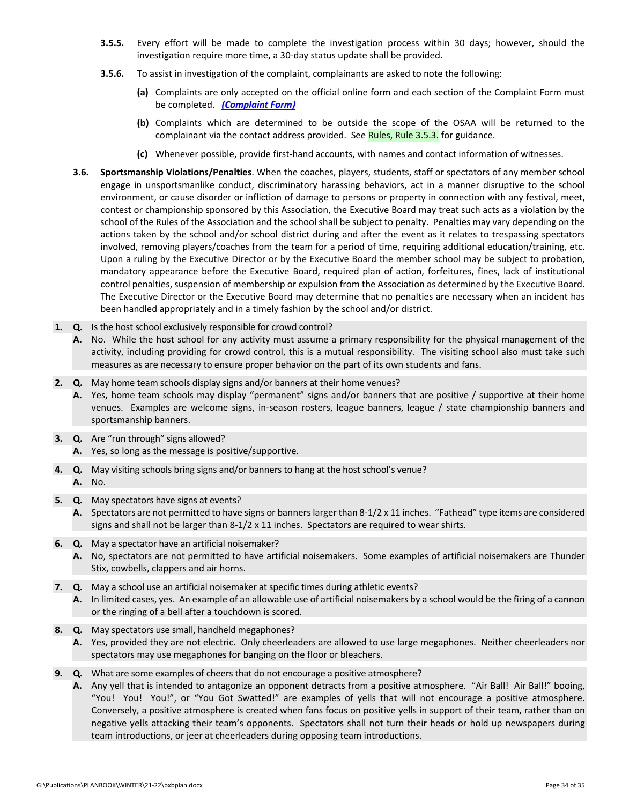- **3.5.5.** Every effort will be made to complete the investigation process within 30 days; however, should the investigation require more time, a 30‐day status update shall be provided.
- **3.5.6.** To assist in investigation of the complaint, complainants are asked to note the following:
	- **(a)** Complaints are only accepted on the official online form and each section of the Complaint Form must be completed. *[\(Complaint](http://www.osaa.org/governance/forms) Form)*
	- **(b)** Complaints which are determined to be outside the scope of the OSAA will be returned to the complainant via the contact address provided. See [Rules,](http://www.osaa.org/governance/handbooks/osaa#_Toc456100266) Rule 3.5.3. for guidance.
	- **(c)** Whenever possible, provide first‐hand accounts, with names and contact information of witnesses.
- **3.6. Sportsmanship Violations/Penalties**. When the coaches, players, students, staff or spectators of any member school engage in unsportsmanlike conduct, discriminatory harassing behaviors, act in a manner disruptive to the school environment, or cause disorder or infliction of damage to persons or property in connection with any festival, meet, contest or championship sponsored by this Association, the Executive Board may treat such acts as a violation by the school of the Rules of the Association and the school shall be subject to penalty. Penalties may vary depending on the actions taken by the school and/or school district during and after the event as it relates to trespassing spectators involved, removing players/coaches from the team for a period of time, requiring additional education/training, etc. Upon a ruling by the Executive Director or by the Executive Board the member school may be subject to probation, mandatory appearance before the Executive Board, required plan of action, forfeitures, fines, lack of institutional control penalties, suspension of membership or expulsion from the Association as determined by the Executive Board. The Executive Director or the Executive Board may determine that no penalties are necessary when an incident has been handled appropriately and in a timely fashion by the school and/or district.
- **1. Q.** Is the host school exclusively responsible for crowd control?
	- **A.** No. While the host school for any activity must assume a primary responsibility for the physical management of the activity, including providing for crowd control, this is a mutual responsibility. The visiting school also must take such measures as are necessary to ensure proper behavior on the part of its own students and fans.
- **2. Q.** May home team schools display signs and/or banners at their home venues?
	- **A.** Yes, home team schools may display "permanent" signs and/or banners that are positive / supportive at their home venues. Examples are welcome signs, in-season rosters, league banners, league / state championship banners and sportsmanship banners.
- **3. Q.** Are "run through" signs allowed?
	- **A.** Yes, so long as the message is positive/supportive.
- **4. Q.** May visiting schools bring signs and/or banners to hang at the host school's venue? **A.** No.
- **5. Q.** May spectators have signs at events?
	- **A.** Spectators are not permitted to have signs or bannerslarger than 8‐1/2 x 11 inches. "Fathead" type items are considered signs and shall not be larger than 8-1/2 x 11 inches. Spectators are required to wear shirts.
- **6. Q.** May a spectator have an artificial noisemaker?
	- **A.** No, spectators are not permitted to have artificial noisemakers. Some examples of artificial noisemakers are Thunder Stix, cowbells, clappers and air horns.
- **7. Q.** May a school use an artificial noisemaker at specific times during athletic events? **A.** In limited cases, yes. An example of an allowable use of artificial noisemakers by a school would be the firing of a cannon or the ringing of a bell after a touchdown is scored.
- **8. Q.** May spectators use small, handheld megaphones?
	- **A.** Yes, provided they are not electric. Only cheerleaders are allowed to use large megaphones. Neither cheerleaders nor spectators may use megaphones for banging on the floor or bleachers.
- **9. Q.** What are some examples of cheers that do not encourage a positive atmosphere?
	- **A.** Any yell that is intended to antagonize an opponent detracts from a positive atmosphere. "Air Ball! Air Ball!" booing, "You! You! You!", or "You Got Swatted!" are examples of yells that will not encourage a positive atmosphere. Conversely, a positive atmosphere is created when fans focus on positive yells in support of their team, rather than on negative yells attacking their team's opponents. Spectators shall not turn their heads or hold up newspapers during team introductions, or jeer at cheerleaders during opposing team introductions.